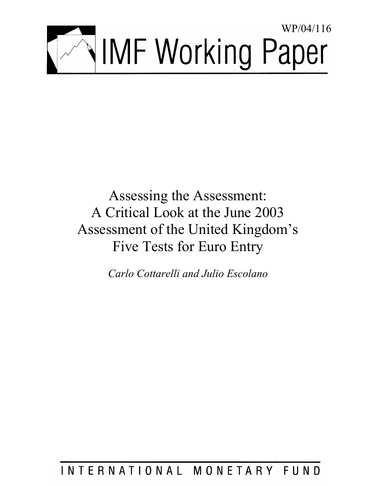

Assessing the Assessment: A Critical Look at the June 2003 Assessment of the United Kingdom's Five Tests for Euro Entry

*Carlo Cottarelli and Julio Escolano* 

# INTERNATIONAL MONETARY FUND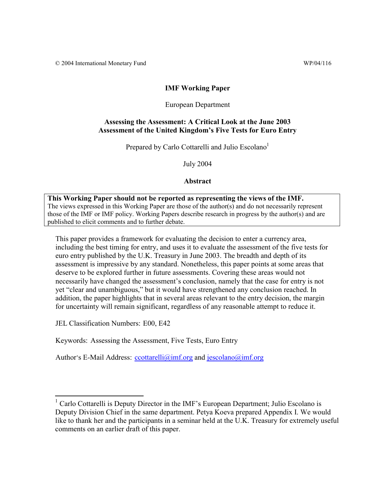## **IMF Working Paper**

## European Department

## **Assessing the Assessment: A Critical Look at the June 2003 Assessment of the United Kingdom's Five Tests for Euro Entry**

Prepared by Carlo Cottarelli and Julio Escolano<sup>1</sup>

July 2004

## **Abstract**

**This Working Paper should not be reported as representing the views of the IMF.** The views expressed in this Working Paper are those of the author(s) and do not necessarily represent those of the IMF or IMF policy. Working Papers describe research in progress by the author(s) and are published to elicit comments and to further debate.

This paper provides a framework for evaluating the decision to enter a currency area, including the best timing for entry, and uses it to evaluate the assessment of the five tests for euro entry published by the U.K. Treasury in June 2003. The breadth and depth of its assessment is impressive by any standard. Nonetheless, this paper points at some areas that deserve to be explored further in future assessments. Covering these areas would not necessarily have changed the assessment's conclusion, namely that the case for entry is not yet "clear and unambiguous," but it would have strengthened any conclusion reached. In addition, the paper highlights that in several areas relevant to the entry decision, the margin for uncertainty will remain significant, regardless of any reasonable attempt to reduce it.

JEL Classification Numbers: E00, E42

Keywords: Assessing the Assessment, Five Tests, Euro Entry

Author's E-Mail Address: ccottarelli@imf.org and jescolano@imf.org

<sup>&</sup>lt;sup>1</sup> Carlo Cottarelli is Deputy Director in the IMF's European Department; Julio Escolano is Deputy Division Chief in the same department. Petya Koeva prepared Appendix I. We would like to thank her and the participants in a seminar held at the U.K. Treasury for extremely useful comments on an earlier draft of this paper.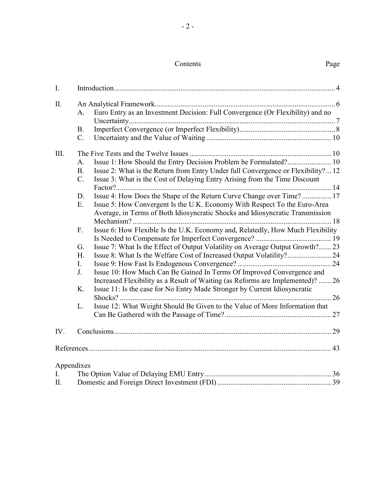# Contents Page

| I.   |                |                                                                                   |  |  |  |  |  |  |
|------|----------------|-----------------------------------------------------------------------------------|--|--|--|--|--|--|
| Π.   |                |                                                                                   |  |  |  |  |  |  |
|      | A.             | Euro Entry as an Investment Decision: Full Convergence (Or Flexibility) and no    |  |  |  |  |  |  |
|      |                |                                                                                   |  |  |  |  |  |  |
|      | <b>B.</b>      |                                                                                   |  |  |  |  |  |  |
|      | $C_{\cdot}$    |                                                                                   |  |  |  |  |  |  |
| III. |                |                                                                                   |  |  |  |  |  |  |
|      | A.             | Issue 1: How Should the Entry Decision Problem be Formulated? 10                  |  |  |  |  |  |  |
|      | <b>B.</b>      | Issue 2: What is the Return from Entry Under full Convergence or Flexibility?  12 |  |  |  |  |  |  |
|      | $C_{\cdot}$    | Issue 3: What is the Cost of Delaying Entry Arising from the Time Discount        |  |  |  |  |  |  |
|      |                |                                                                                   |  |  |  |  |  |  |
|      | D.             | Issue 4: How Does the Shape of the Return Curve Change over Time? 17              |  |  |  |  |  |  |
|      | Ε.             | Issue 5: How Convergent Is the U.K. Economy With Respect To the Euro-Area         |  |  |  |  |  |  |
|      |                | Average, in Terms of Both Idiosyncratic Shocks and Idiosyncratic Transmission     |  |  |  |  |  |  |
|      |                |                                                                                   |  |  |  |  |  |  |
|      | F.             | Issue 6: How Flexible Is the U.K. Economy and, Relatedly, How Much Flexibility    |  |  |  |  |  |  |
|      |                |                                                                                   |  |  |  |  |  |  |
|      | G.             | Issue 7: What Is the Effect of Output Volatility on Average Output Growth?23      |  |  |  |  |  |  |
|      | H <sub>r</sub> |                                                                                   |  |  |  |  |  |  |
|      | $I_{\cdot}$    |                                                                                   |  |  |  |  |  |  |
|      | J.             | Issue 10: How Much Can Be Gained In Terms Of Improved Convergence and             |  |  |  |  |  |  |
|      |                | Increased Flexibility as a Result of Waiting (as Reforms are Implemented)? 26     |  |  |  |  |  |  |
|      | K.             | Issue 11: Is the case for No Entry Made Stronger by Current Idiosyncratic         |  |  |  |  |  |  |
|      |                |                                                                                   |  |  |  |  |  |  |
|      | L.             | Issue 12: What Weight Should Be Given to the Value of More Information that       |  |  |  |  |  |  |
|      |                |                                                                                   |  |  |  |  |  |  |
| IV.  |                |                                                                                   |  |  |  |  |  |  |
|      |                |                                                                                   |  |  |  |  |  |  |
|      |                |                                                                                   |  |  |  |  |  |  |
|      | Appendixes     |                                                                                   |  |  |  |  |  |  |
| I.   |                |                                                                                   |  |  |  |  |  |  |
| П.   |                |                                                                                   |  |  |  |  |  |  |
|      |                |                                                                                   |  |  |  |  |  |  |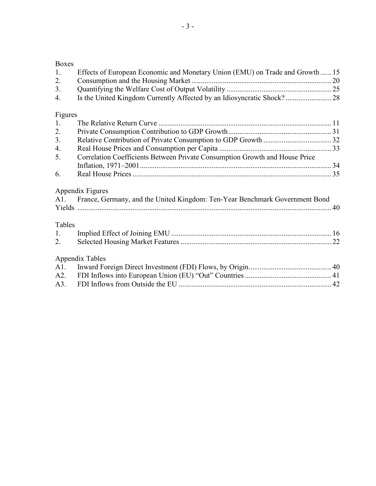## Boxes

| 1.          | Effects of European Economic and Monetary Union (EMU) on Trade and Growth  15   |  |
|-------------|---------------------------------------------------------------------------------|--|
| 2.          |                                                                                 |  |
| 3.          |                                                                                 |  |
| 4.          |                                                                                 |  |
| Figures     |                                                                                 |  |
| 1.          |                                                                                 |  |
| 2.          |                                                                                 |  |
| 3.          |                                                                                 |  |
| 4.          |                                                                                 |  |
| 5.          | Correlation Coefficients Between Private Consumption Growth and House Price     |  |
|             |                                                                                 |  |
| 6.          |                                                                                 |  |
|             | Appendix Figures                                                                |  |
|             | A1. France, Germany, and the United Kingdom: Ten-Year Benchmark Government Bond |  |
|             |                                                                                 |  |
|             |                                                                                 |  |
| Tables      |                                                                                 |  |
| $1_{\cdot}$ |                                                                                 |  |
| 2.          |                                                                                 |  |
|             | <b>Appendix Tables</b>                                                          |  |
| A1.         |                                                                                 |  |
| A2.         |                                                                                 |  |
| A3.         |                                                                                 |  |
|             |                                                                                 |  |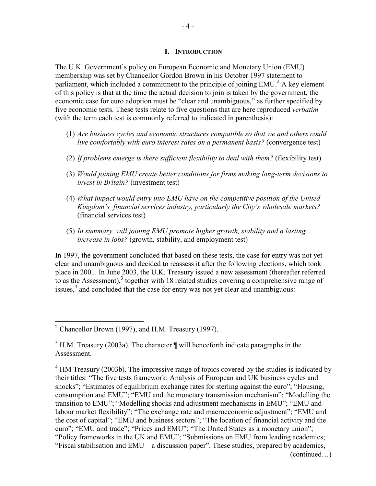#### **I. INTRODUCTION**

The U.K. Government's policy on European Economic and Monetary Union (EMU) membership was set by Chancellor Gordon Brown in his October 1997 statement to parliament, which included a commitment to the principle of joining  $EMU<sup>2</sup>$ . A key element of this policy is that at the time the actual decision to join is taken by the government, the economic case for euro adoption must be "clear and unambiguous," as further specified by five economic tests. These tests relate to five questions that are here reproduced *verbatim* (with the term each test is commonly referred to indicated in parenthesis):

- (1) *Are business cycles and economic structures compatible so that we and others could live comfortably with euro interest rates on a permanent basis?* (convergence test)
- (2) *If problems emerge is there sufficient flexibility to deal with them?* (flexibility test)
- (3) *Would joining EMU create better conditions for firms making long-term decisions to invest in Britain?* (investment test)
- (4) *What impact would entry into EMU have on the competitive position of the United Kingdom's financial services industry, particularly the City's wholesale markets?* (financial services test)
- (5) *In summary, will joining EMU promote higher growth, stability and a lasting increase in jobs?* (growth, stability, and employment test)

In 1997, the government concluded that based on these tests, the case for entry was not yet clear and unambiguous and decided to reassess it after the following elections, which took place in 2001. In June 2003, the U.K. Treasury issued a new assessment (thereafter referred to as the Assessment), $3$  together with 18 related studies covering a comprehensive range of issues,<sup>4</sup> and concluded that the case for entry was not yet clear and unambiguous:

<sup>&</sup>lt;sup>2</sup> Chancellor Brown (1997), and H.M. Treasury (1997).

 $3$  H.M. Treasury (2003a). The character  $\P$  will henceforth indicate paragraphs in the Assessment.

 $4$  HM Treasury (2003b). The impressive range of topics covered by the studies is indicated by their titles: "The five tests framework; Analysis of European and UK business cycles and shocks"; "Estimates of equilibrium exchange rates for sterling against the euro"; "Housing, consumption and EMU"; "EMU and the monetary transmission mechanism"; "Modelling the transition to EMU"; "Modelling shocks and adjustment mechanisms in EMU"; "EMU and labour market flexibility"; "The exchange rate and macroeconomic adjustment"; "EMU and the cost of capital"; "EMU and business sectors"; "The location of financial activity and the euro"; "EMU and trade"; "Prices and EMU"; "The United States as a monetary union"; "Policy frameworks in the UK and EMU"; "Submissions on EMU from leading academics; "Fiscal stabilisation and EMU—a discussion paper". These studies, prepared by academics, (continued…)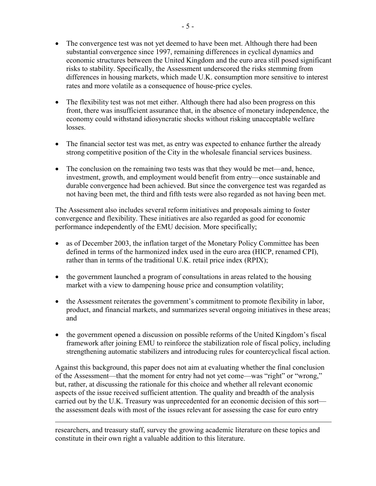- The convergence test was not yet deemed to have been met. Although there had been substantial convergence since 1997, remaining differences in cyclical dynamics and economic structures between the United Kingdom and the euro area still posed significant risks to stability. Specifically, the Assessment underscored the risks stemming from differences in housing markets, which made U.K. consumption more sensitive to interest rates and more volatile as a consequence of house-price cycles.
- The flexibility test was not met either. Although there had also been progress on this front, there was insufficient assurance that, in the absence of monetary independence, the economy could withstand idiosyncratic shocks without risking unacceptable welfare **losses**
- The financial sector test was met, as entry was expected to enhance further the already strong competitive position of the City in the wholesale financial services business.
- The conclusion on the remaining two tests was that they would be met—and, hence, investment, growth, and employment would benefit from entry—once sustainable and durable convergence had been achieved. But since the convergence test was regarded as not having been met, the third and fifth tests were also regarded as not having been met.

The Assessment also includes several reform initiatives and proposals aiming to foster convergence and flexibility. These initiatives are also regarded as good for economic performance independently of the EMU decision. More specifically;

- as of December 2003, the inflation target of the Monetary Policy Committee has been defined in terms of the harmonized index used in the euro area (HICP, renamed CPI), rather than in terms of the traditional U.K. retail price index (RPIX);
- the government launched a program of consultations in areas related to the housing market with a view to dampening house price and consumption volatility;
- the Assessment reiterates the government's commitment to promote flexibility in labor, product, and financial markets, and summarizes several ongoing initiatives in these areas; and
- the government opened a discussion on possible reforms of the United Kingdom's fiscal framework after joining EMU to reinforce the stabilization role of fiscal policy, including strengthening automatic stabilizers and introducing rules for countercyclical fiscal action.

Against this background, this paper does not aim at evaluating whether the final conclusion of the Assessment—that the moment for entry had not yet come—was "right" or "wrong," but, rather, at discussing the rationale for this choice and whether all relevant economic aspects of the issue received sufficient attention. The quality and breadth of the analysis carried out by the U.K. Treasury was unprecedented for an economic decision of this sort the assessment deals with most of the issues relevant for assessing the case for euro entry

researchers, and treasury staff, survey the growing academic literature on these topics and constitute in their own right a valuable addition to this literature.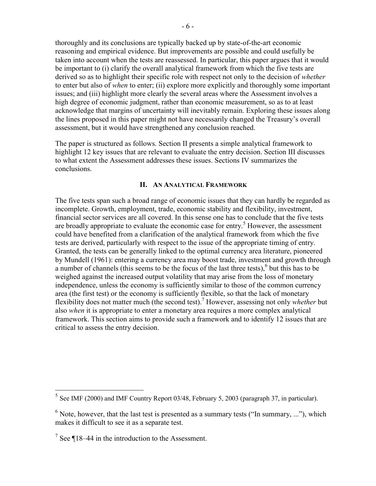thoroughly and its conclusions are typically backed up by state-of-the-art economic reasoning and empirical evidence. But improvements are possible and could usefully be taken into account when the tests are reassessed. In particular, this paper argues that it would be important to (i) clarify the overall analytical framework from which the five tests are derived so as to highlight their specific role with respect not only to the decision of *whether* to enter but also of *when* to enter; (ii) explore more explicitly and thoroughly some important issues; and (iii) highlight more clearly the several areas where the Assessment involves a high degree of economic judgment, rather than economic measurement, so as to at least acknowledge that margins of uncertainty will inevitably remain. Exploring these issues along the lines proposed in this paper might not have necessarily changed the Treasury's overall assessment, but it would have strengthened any conclusion reached.

The paper is structured as follows. Section II presents a simple analytical framework to highlight 12 key issues that are relevant to evaluate the entry decision. Section III discusses to what extent the Assessment addresses these issues. Sections IV summarizes the conclusions.

#### **II. AN ANALYTICAL FRAMEWORK**

The five tests span such a broad range of economic issues that they can hardly be regarded as incomplete. Growth, employment, trade, economic stability and flexibility, investment, financial sector services are all covered. In this sense one has to conclude that the five tests are broadly appropriate to evaluate the economic case for entry.<sup>5</sup> However, the assessment could have benefited from a clarification of the analytical framework from which the five tests are derived, particularly with respect to the issue of the appropriate timing of entry. Granted, the tests can be generally linked to the optimal currency area literature, pioneered by Mundell (1961): entering a currency area may boost trade, investment and growth through a number of channels (this seems to be the focus of the last three tests), $6$  but this has to be weighed against the increased output volatility that may arise from the loss of monetary independence, unless the economy is sufficiently similar to those of the common currency area (the first test) or the economy is sufficiently flexible, so that the lack of monetary flexibility does not matter much (the second test).<sup>7</sup> However, assessing not only *whether* but also *when* it is appropriate to enter a monetary area requires a more complex analytical framework. This section aims to provide such a framework and to identify 12 issues that are critical to assess the entry decision.

 $<sup>5</sup>$  See IMF (2000) and IMF Country Report 03/48, February 5, 2003 (paragraph 37, in particular).</sup>

 $6$  Note, however, that the last test is presented as a summary tests ("In summary, ..."), which makes it difficult to see it as a separate test.

<sup>&</sup>lt;sup>7</sup> See  $\P$ 18–44 in the introduction to the Assessment.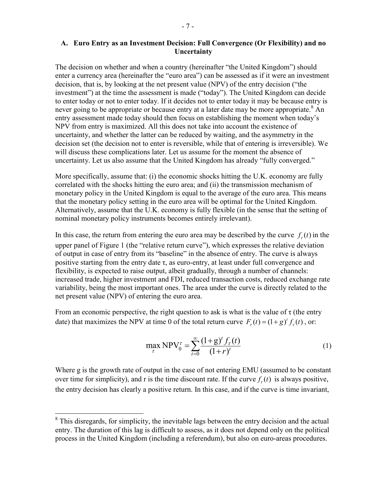#### **A. Euro Entry as an Investment Decision: Full Convergence (Or Flexibility) and no Uncertainty**

The decision on whether and when a country (hereinafter "the United Kingdom") should enter a currency area (hereinafter the "euro area") can be assessed as if it were an investment decision, that is, by looking at the net present value (NPV) of the entry decision ("the investment") at the time the assessment is made ("today"). The United Kingdom can decide to enter today or not to enter today. If it decides not to enter today it may be because entry is never going to be appropriate or because entry at a later date may be more appropriate.<sup>8</sup> An entry assessment made today should then focus on establishing the moment when today's NPV from entry is maximized. All this does not take into account the existence of uncertainty, and whether the latter can be reduced by waiting, and the asymmetry in the decision set (the decision not to enter is reversible, while that of entering is irreversible). We will discuss these complications later. Let us assume for the moment the absence of uncertainty. Let us also assume that the United Kingdom has already "fully converged."

More specifically, assume that: (i) the economic shocks hitting the U.K. economy are fully correlated with the shocks hitting the euro area; and (ii) the transmission mechanism of monetary policy in the United Kingdom is equal to the average of the euro area. This means that the monetary policy setting in the euro area will be optimal for the United Kingdom. Alternatively, assume that the U.K. economy is fully flexible (in the sense that the setting of nominal monetary policy instruments becomes entirely irrelevant).

In this case, the return from entering the euro area may be described by the curve  $f<sub>r</sub>(t)$  in the upper panel of Figure 1 (the "relative return curve"), which expresses the relative deviation of output in case of entry from its "baseline" in the absence of entry. The curve is always positive starting from the entry date  $\tau$ , as euro-entry, at least under full convergence and flexibility, is expected to raise output, albeit gradually, through a number of channels: increased trade, higher investment and FDI, reduced transaction costs, reduced exchange rate variability, being the most important ones. The area under the curve is directly related to the net present value (NPV) of entering the euro area.

From an economic perspective, the right question to ask is what is the value of  $\tau$  (the entry date) that maximizes the NPV at time 0 of the total return curve  $F_r(t) = (1 + g)^t f_r(t)$ , or:

$$
\max_{\tau} NPV_0^{\tau} = \sum_{t=0}^{\infty} \frac{(1+g)^t f_{\tau}(t)}{(1+r)^t}
$$
 (1)

Where g is the growth rate of output in the case of not entering EMU (assumed to be constant over time for simplicity), and r is the time discount rate. If the curve  $f<sub>r</sub>(t)$  is always positive, the entry decision has clearly a positive return. In this case, and if the curve is time invariant,

<u>.</u>

 $8$  This disregards, for simplicity, the inevitable lags between the entry decision and the actual entry. The duration of this lag is difficult to assess, as it does not depend only on the political process in the United Kingdom (including a referendum), but also on euro-areas procedures.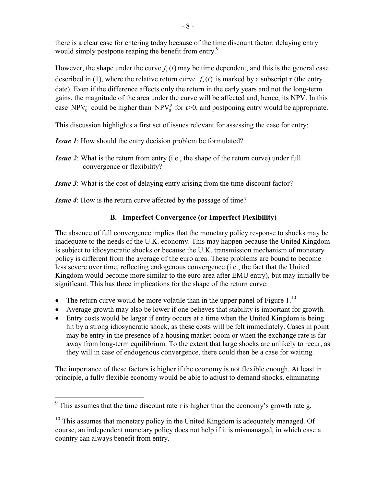there is a clear case for entering today because of the time discount factor: delaying entry would simply postpone reaping the benefit from entry.<sup>9</sup>

However, the shape under the curve  $f<sub>r</sub>(t)$  may be time dependent, and this is the general case described in (1), where the relative return curve  $f<sub>r</sub>(t)$  is marked by a subscript  $\tau$  (the entry date). Even if the difference affects only the return in the early years and not the long-term gains, the magnitude of the area under the curve will be affected and, hence, its NPV. In this case NPV<sub>0</sub><sup>*t*</sup> could be higher than NPV<sub>0</sub><sup>0</sup> for  $\tau$ >0, and postponing entry would be appropriate.

This discussion highlights a first set of issues relevant for assessing the case for entry:

*Issue 1*: How should the entry decision problem be formulated?

- *Issue 2*: What is the return from entry (i.e., the shape of the return curve) under full convergence or flexibility?
- *Issue 3:* What is the cost of delaying entry arising from the time discount factor?

*Issue 4*: How is the return curve affected by the passage of time?

## **B. Imperfect Convergence (or Imperfect Flexibility)**

The absence of full convergence implies that the monetary policy response to shocks may be inadequate to the needs of the U.K. economy. This may happen because the United Kingdom is subject to idiosyncratic shocks or because the U.K. transmission mechanism of monetary policy is different from the average of the euro area. These problems are bound to become less severe over time, reflecting endogenous convergence (i.e., the fact that the United Kingdom would become more similar to the euro area after EMU entry), but may initially be significant. This has three implications for the shape of the return curve:

- The return curve would be more volatile than in the upper panel of Figure  $1.^{10}$ .
- Average growth may also be lower if one believes that stability is important for growth.
- Entry costs would be larger if entry occurs at a time when the United Kingdom is being hit by a strong idiosyncratic shock, as these costs will be felt immediately. Cases in point may be entry in the presence of a housing market boom or when the exchange rate is far away from long-term equilibrium. To the extent that large shocks are unlikely to recur, as they will in case of endogenous convergence, there could then be a case for waiting.

The importance of these factors is higher if the economy is not flexible enough. At least in principle, a fully flexible economy would be able to adjust to demand shocks, eliminating

<sup>&</sup>lt;sup>9</sup> This assumes that the time discount rate r is higher than the economy's growth rate g.

<sup>&</sup>lt;sup>10</sup> This assumes that monetary policy in the United Kingdom is adequately managed. Of course, an independent monetary policy does not help if it is mismanaged, in which case a country can always benefit from entry.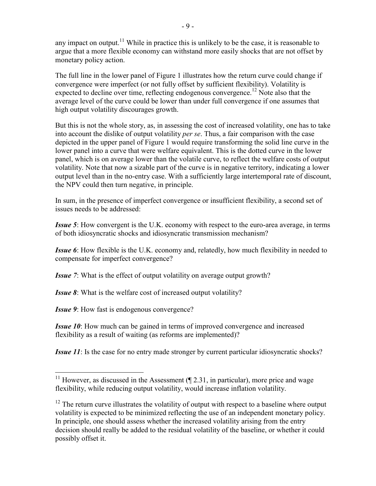any impact on output.<sup>11</sup> While in practice this is unlikely to be the case, it is reasonable to argue that a more flexible economy can withstand more easily shocks that are not offset by monetary policy action.

The full line in the lower panel of Figure 1 illustrates how the return curve could change if convergence were imperfect (or not fully offset by sufficient flexibility). Volatility is expected to decline over time, reflecting endogenous convergence.<sup>12</sup> Note also that the average level of the curve could be lower than under full convergence if one assumes that high output volatility discourages growth.

But this is not the whole story, as, in assessing the cost of increased volatility, one has to take into account the dislike of output volatility *per se*. Thus, a fair comparison with the case depicted in the upper panel of Figure 1 would require transforming the solid line curve in the lower panel into a curve that were welfare equivalent. This is the dotted curve in the lower panel, which is on average lower than the volatile curve, to reflect the welfare costs of output volatility. Note that now a sizable part of the curve is in negative territory, indicating a lower output level than in the no-entry case. With a sufficiently large intertemporal rate of discount, the NPV could then turn negative, in principle.

In sum, in the presence of imperfect convergence or insufficient flexibility, a second set of issues needs to be addressed:

*Issue 5*: How convergent is the U.K. economy with respect to the euro-area average, in terms of both idiosyncratic shocks and idiosyncratic transmission mechanism?

*Issue 6*: How flexible is the U.K. economy and, relatedly, how much flexibility in needed to compensate for imperfect convergence?

*Issue 7:* What is the effect of output volatility on average output growth?

*Issue 8:* What is the welfare cost of increased output volatility?

*Issue 9*: How fast is endogenous convergence?

 $\overline{a}$ 

*Issue 10*: How much can be gained in terms of improved convergence and increased flexibility as a result of waiting (as reforms are implemented)?

*Issue 11*: Is the case for no entry made stronger by current particular idiosyncratic shocks?

<sup>&</sup>lt;sup>11</sup> However, as discussed in the Assessment  $($   $\sqrt{$  2.31, in particular), more price and wage flexibility, while reducing output volatility, would increase inflation volatility.

 $12$  The return curve illustrates the volatility of output with respect to a baseline where output volatility is expected to be minimized reflecting the use of an independent monetary policy. In principle, one should assess whether the increased volatility arising from the entry decision should really be added to the residual volatility of the baseline, or whether it could possibly offset it.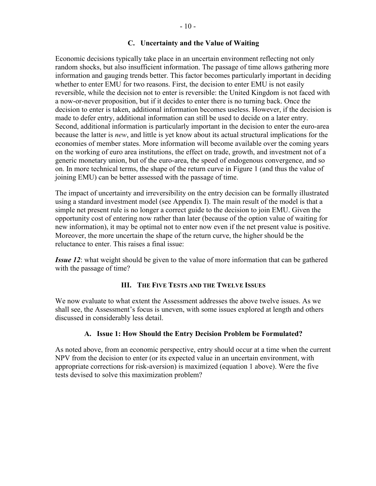## **C. Uncertainty and the Value of Waiting**

Economic decisions typically take place in an uncertain environment reflecting not only random shocks, but also insufficient information. The passage of time allows gathering more information and gauging trends better. This factor becomes particularly important in deciding whether to enter EMU for two reasons. First, the decision to enter EMU is not easily reversible, while the decision not to enter is reversible: the United Kingdom is not faced with a now-or-never proposition, but if it decides to enter there is no turning back. Once the decision to enter is taken, additional information becomes useless. However, if the decision is made to defer entry, additional information can still be used to decide on a later entry. Second, additional information is particularly important in the decision to enter the euro-area because the latter is *new*, and little is yet know about its actual structural implications for the economies of member states. More information will become available over the coming years on the working of euro area institutions, the effect on trade, growth, and investment not of a generic monetary union, but of the euro-area, the speed of endogenous convergence, and so on. In more technical terms, the shape of the return curve in Figure 1 (and thus the value of joining EMU) can be better assessed with the passage of time.

The impact of uncertainty and irreversibility on the entry decision can be formally illustrated using a standard investment model (see Appendix I). The main result of the model is that a simple net present rule is no longer a correct guide to the decision to join EMU. Given the opportunity cost of entering now rather than later (because of the option value of waiting for new information), it may be optimal not to enter now even if the net present value is positive. Moreover, the more uncertain the shape of the return curve, the higher should be the reluctance to enter. This raises a final issue:

*Issue 12*: what weight should be given to the value of more information that can be gathered with the passage of time?

## **III. THE FIVE TESTS AND THE TWELVE ISSUES**

We now evaluate to what extent the Assessment addresses the above twelve issues. As we shall see, the Assessment's focus is uneven, with some issues explored at length and others discussed in considerably less detail.

#### **A. Issue 1: How Should the Entry Decision Problem be Formulated?**

As noted above, from an economic perspective, entry should occur at a time when the current NPV from the decision to enter (or its expected value in an uncertain environment, with appropriate corrections for risk-aversion) is maximized (equation 1 above). Were the five tests devised to solve this maximization problem?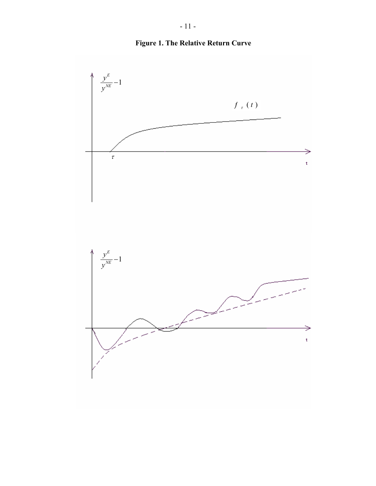



**Figure 1. The Relative Return Curve**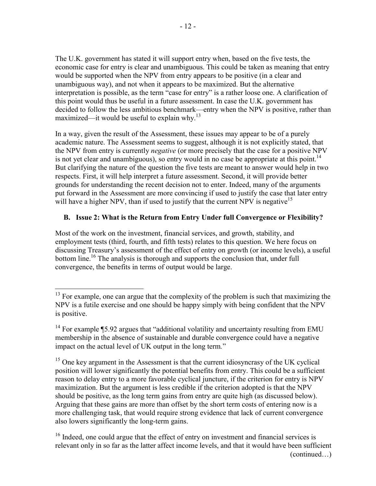The U.K. government has stated it will support entry when, based on the five tests, the economic case for entry is clear and unambiguous. This could be taken as meaning that entry would be supported when the NPV from entry appears to be positive (in a clear and unambiguous way), and not when it appears to be maximized. But the alternative interpretation is possible, as the term "case for entry" is a rather loose one. A clarification of this point would thus be useful in a future assessment. In case the U.K. government has decided to follow the less ambitious benchmark—entry when the NPV is positive, rather than maximized—it would be useful to explain why.<sup>13</sup>

In a way, given the result of the Assessment, these issues may appear to be of a purely academic nature. The Assessment seems to suggest, although it is not explicitly stated, that the NPV from entry is currently *negative* (or more precisely that the case for a positive NPV is not yet clear and unambiguous), so entry would in no case be appropriate at this point.<sup>14</sup> But clarifying the nature of the question the five tests are meant to answer would help in two respects. First, it will help interpret a future assessment. Second, it will provide better grounds for understanding the recent decision not to enter. Indeed, many of the arguments put forward in the Assessment are more convincing if used to justify the case that later entry will have a higher NPV, than if used to justify that the current NPV is negative<sup>15</sup>

## **B. Issue 2: What is the Return from Entry Under full Convergence or Flexibility?**

Most of the work on the investment, financial services, and growth, stability, and employment tests (third, fourth, and fifth tests) relates to this question. We here focus on discussing Treasury's assessment of the effect of entry on growth (or income levels), a useful bottom line.<sup>16</sup> The analysis is thorough and supports the conclusion that, under full convergence, the benefits in terms of output would be large.

 $13$  For example, one can argue that the complexity of the problem is such that maximizing the NPV is a futile exercise and one should be happy simply with being confident that the NPV is positive.

<sup>&</sup>lt;sup>14</sup> For example ¶5.92 argues that "additional volatility and uncertainty resulting from EMU membership in the absence of sustainable and durable convergence could have a negative impact on the actual level of UK output in the long term*.*"

 $15$  One key argument in the Assessment is that the current idiosyncrasy of the UK cyclical position will lower significantly the potential benefits from entry. This could be a sufficient reason to delay entry to a more favorable cyclical juncture, if the criterion for entry is NPV maximization. But the argument is less credible if the criterion adopted is that the NPV should be positive, as the long term gains from entry are quite high (as discussed below). Arguing that these gains are more than offset by the short term costs of entering now is a more challenging task, that would require strong evidence that lack of current convergence also lowers significantly the long-term gains.

 $16$  Indeed, one could argue that the effect of entry on investment and financial services is relevant only in so far as the latter affect income levels, and that it would have been sufficient (continued…)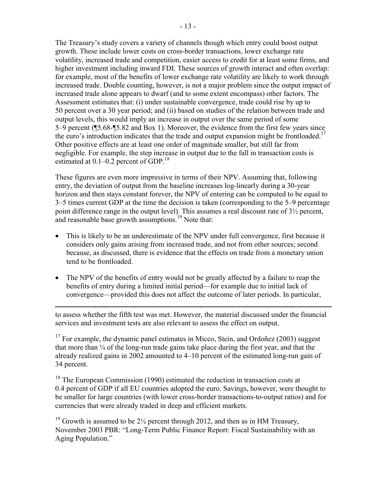The Treasury's study covers a variety of channels though which entry could boost output growth. These include lower costs on cross-border transactions, lower exchange rate volatility, increased trade and competition, easier access to credit for at least some firms, and higher investment including inward FDI. These sources of growth interact and often overlap: for example, most of the benefits of lower exchange rate volatility are likely to work through increased trade. Double counting, however, is not a major problem since the output impact of increased trade alone appears to dwarf (and to some extent encompass) other factors. The Assessment estimates that: (i) under sustainable convergence, trade could rise by up to 50 percent over a 30 year period; and (ii) based on studies of the relation between trade and output levels, this would imply an increase in output over the same period of some 5–9 percent (¶5.68-¶5.82 and Box 1). Moreover, the evidence from the first few years since the euro's introduction indicates that the trade and output expansion might be frontloaded.<sup>17</sup> Other positive effects are at least one order of magnitude smaller, but still far from negligible. For example, the step increase in output due to the fall in transaction costs is estimated at  $0.1-0.2$  percent of GDP.<sup>18</sup>

These figures are even more impressive in terms of their NPV. Assuming that, following entry, the deviation of output from the baseline increases log-linearly during a 30-year horizon and then stays constant forever, the NPV of entering can be computed to be equal to 3–5 times current GDP at the time the decision is taken (corresponding to the 5–9 percentage point difference range in the output level). This assumes a real discount rate of 3½ percent, and reasonable base growth assumptions.<sup>19</sup> Note that:

- This is likely to be an underestimate of the NPV under full convergence, first because it considers only gains arising from increased trade, and not from other sources; second because, as discussed, there is evidence that the effects on trade from a monetary union tend to be frontloaded.
- The NPV of the benefits of entry would not be greatly affected by a failure to reap the benefits of entry during a limited initial period—for example due to initial lack of convergence—provided this does not affect the outcome of later periods. In particular,

<u>.</u>

to assess whether the fifth test was met. However, the material discussed under the financial services and investment tests are also relevant to assess the effect on output.

 $17$  For example, the dynamic panel estimates in Micco, Stein, and Ordoñez (2003) suggest that more than ¼ of the long-run trade gains take place during the first year, and that the already realized gains in 2002 amounted to 4–10 percent of the estimated long-run gain of 34 percent.

<sup>18</sup> The European Commission (1990) estimated the reduction in transaction costs at 0.4 percent of GDP if all EU countries adopted the euro. Savings, however, were thought to be smaller for large countries (with lower cross-border transactions-to-output ratios) and for currencies that were already traded in deep and efficient markets.

<sup>19</sup> Growth is assumed to be  $2\frac{1}{2}$  percent through 2012, and then as in HM Treasury, November 2003 PBR: "Long-Term Public Finance Report: Fiscal Sustainability with an Aging Population."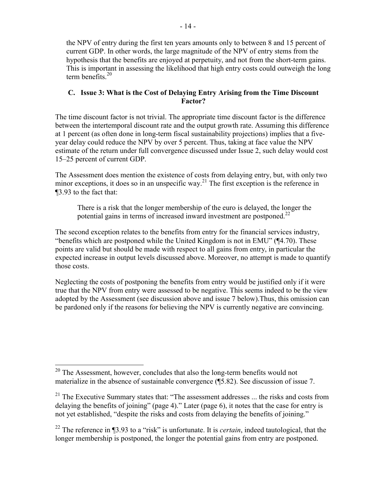the NPV of entry during the first ten years amounts only to between 8 and 15 percent of current GDP. In other words, the large magnitude of the NPV of entry stems from the hypothesis that the benefits are enjoyed at perpetuity, and not from the short-term gains. This is important in assessing the likelihood that high entry costs could outweigh the long term benefits  $^{20}$ 

## **C. Issue 3: What is the Cost of Delaying Entry Arising from the Time Discount Factor?**

The time discount factor is not trivial. The appropriate time discount factor is the difference between the intertemporal discount rate and the output growth rate. Assuming this difference at 1 percent (as often done in long-term fiscal sustainability projections) implies that a fiveyear delay could reduce the NPV by over 5 percent. Thus, taking at face value the NPV estimate of the return under full convergence discussed under Issue 2, such delay would cost 15–25 percent of current GDP.

The Assessment does mention the existence of costs from delaying entry, but, with only two minor exceptions, it does so in an unspecific way.<sup>21</sup> The first exception is the reference in ¶3.93 to the fact that:

There is a risk that the longer membership of the euro is delayed, the longer the potential gains in terms of increased inward investment are postponed.<sup>22</sup>

The second exception relates to the benefits from entry for the financial services industry, "benefits which are postponed while the United Kingdom is not in EMU" (¶4.70). These points are valid but should be made with respect to all gains from entry, in particular the expected increase in output levels discussed above. Moreover, no attempt is made to quantify those costs.

Neglecting the costs of postponing the benefits from entry would be justified only if it were true that the NPV from entry were assessed to be negative. This seems indeed to be the view adopted by the Assessment (see discussion above and issue 7 below).Thus, this omission can be pardoned only if the reasons for believing the NPV is currently negative are convincing.

 $20$  The Assessment, however, concludes that also the long-term benefits would not materialize in the absence of sustainable convergence (¶5.82). See discussion of issue 7.

 $21$  The Executive Summary states that: "The assessment addresses ... the risks and costs from delaying the benefits of joining" (page 4)." Later (page 6), it notes that the case for entry is not yet established, "despite the risks and costs from delaying the benefits of joining."

<sup>22</sup> The reference in ¶3.93 to a "risk" is unfortunate. It is *certain*, indeed tautological, that the longer membership is postponed, the longer the potential gains from entry are postponed.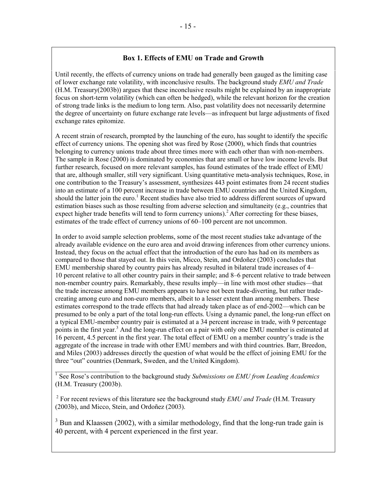## **Box 1. Effects of EMU on Trade and Growth**

Until recently, the effects of currency unions on trade had generally been gauged as the limiting case of lower exchange rate volatility, with inconclusive results. The background study *EMU and Trade* (H.M. Treasury(2003b)) argues that these inconclusive results might be explained by an inappropriate focus on short-term volatility (which can often be hedged), while the relevant horizon for the creation of strong trade links is the medium to long term. Also, past volatility does not necessarily determine the degree of uncertainty on future exchange rate levels—as infrequent but large adjustments of fixed exchange rates epitomize.

A recent strain of research, prompted by the launching of the euro, has sought to identify the specific effect of currency unions. The opening shot was fired by Rose (2000), which finds that countries belonging to currency unions trade about three times more with each other than with non-members. The sample in Rose (2000) is dominated by economies that are small or have low income levels. But further research, focused on more relevant samples, has found estimates of the trade effect of EMU that are, although smaller, still very significant. Using quantitative meta-analysis techniques, Rose, in one contribution to the Treasury's assessment, synthesizes 443 point estimates from 24 recent studies into an estimate of a 100 percent increase in trade between EMU countries and the United Kingdom, should the latter join the euro.<sup>1</sup> Recent studies have also tried to address different sources of upward estimation biases such as those resulting from adverse selection and simultaneity (e.g., countries that expect higher trade benefits will tend to form currency unions).<sup>2</sup> After correcting for these biases, estimates of the trade effect of currency unions of 60–100 percent are not uncommon.

In order to avoid sample selection problems, some of the most recent studies take advantage of the already available evidence on the euro area and avoid drawing inferences from other currency unions. Instead, they focus on the actual effect that the introduction of the euro has had on its members as compared to those that stayed out. In this vein, Micco, Stein, and Ordoñez (2003) concludes that EMU membership shared by country pairs has already resulted in bilateral trade increases of 4– 10 percent relative to all other country pairs in their sample; and 8–6 percent relative to trade between non-member country pairs. Remarkably, these results imply—in line with most other studies—that the trade increase among EMU members appears to have not been trade-diverting, but rather tradecreating among euro and non-euro members, albeit to a lesser extent than among members. These estimates correspond to the trade effects that had already taken place as of end-2002—which can be presumed to be only a part of the total long-run effects. Using a dynamic panel, the long-run effect on a typical EMU-member country pair is estimated at a 34 percent increase in trade, with 9 percentage points in the first year.<sup>3</sup> And the long-run effect on a pair with only one EMU member is estimated at 16 percent, 4.5 percent in the first year. The total effect of EMU on a member country's trade is the aggregate of the increase in trade with other EMU members and with third countries. Barr, Breedon, and Miles (2003) addresses directly the question of what would be the effect of joining EMU for the three "out" countries (Denmark, Sweden, and the United Kingdom).

<sup>1</sup> See Rose's contribution to the background study *Submissions on EMU from Leading Academics* (H.M. Treasury (2003b).

 2 For recent reviews of this literature see the background study *EMU and Trade* (H.M. Treasury (2003b), and Micco, Stein, and Ordoñez (2003).

 $3$  Bun and Klaassen (2002), with a similar methodology, find that the long-run trade gain is 40 percent, with 4 percent experienced in the first year.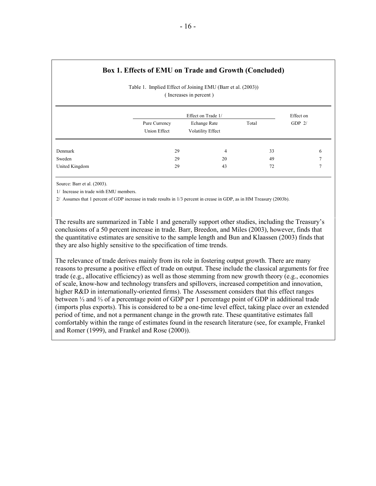## **Box 1. Effects of EMU on Trade and Growth (Concluded)**

| Table 1. Implied Effect of Joining EMU (Barr et al. (2003)) |  |
|-------------------------------------------------------------|--|
| (Increases in percent)                                      |  |

|                |                               | Effect on Trade 1/                |       |          |  |  |  |
|----------------|-------------------------------|-----------------------------------|-------|----------|--|--|--|
|                | Pure Currency<br>Union Effect | Echange Rate<br>Volatility Effect | Total | GDP $2/$ |  |  |  |
| Denmark        | 29                            | 4                                 | 33    | 6        |  |  |  |
| Sweden         | 29                            | 20                                | 49    |          |  |  |  |
| United Kingdom | 29                            | 43                                | 72    |          |  |  |  |

Source: Barr et al. (2003).

1/ Increase in trade with EMU members.

2/ Assumes that 1 percent of GDP increase in trade results in 1/3 percent in crease in GDP, as in HM Treasury (2003b).

The results are summarized in Table 1 and generally support other studies, including the Treasury's conclusions of a 50 percent increase in trade. Barr, Breedon, and Miles (2003), however, finds that the quantitative estimates are sensitive to the sample length and Bun and Klaassen (2003) finds that they are also highly sensitive to the specification of time trends.

The relevance of trade derives mainly from its role in fostering output growth. There are many reasons to presume a positive effect of trade on output. These include the classical arguments for free trade (e.g., allocative efficiency) as well as those stemming from new growth theory (e.g., economies of scale, know-how and technology transfers and spillovers, increased competition and innovation, higher R&D in internationally-oriented firms). The Assessment considers that this effect ranges between ⅓ and ⅔ of a percentage point of GDP per 1 percentage point of GDP in additional trade (imports plus exports). This is considered to be a one-time level effect, taking place over an extended period of time, and not a permanent change in the growth rate. These quantitative estimates fall comfortably within the range of estimates found in the research literature (see, for example, Frankel and Romer (1999), and Frankel and Rose (2000)).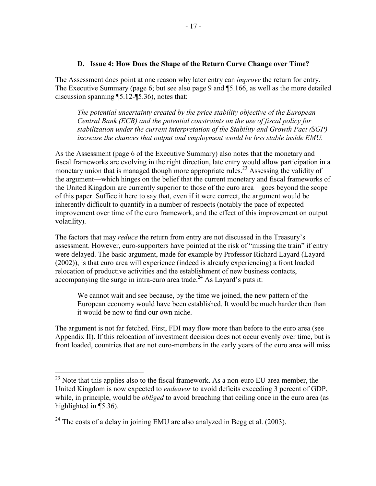#### **D. Issue 4: How Does the Shape of the Return Curve Change over Time?**

The Assessment does point at one reason why later entry can *improve* the return for entry. The Executive Summary (page 6; but see also page 9 and ¶5.166, as well as the more detailed discussion spanning ¶5.12-¶5.36), notes that:

*The potential uncertainty created by the price stability objective of the European Central Bank (ECB) and the potential constraints on the use of fiscal policy for stabilization under the current interpretation of the Stability and Growth Pact (SGP) increase the chances that output and employment would be less stable inside EMU.* 

As the Assessment (page 6 of the Executive Summary) also notes that the monetary and fiscal frameworks are evolving in the right direction, late entry would allow participation in a monetary union that is managed though more appropriate rules.<sup>23</sup> Assessing the validity of the argument—which hinges on the belief that the current monetary and fiscal frameworks of the United Kingdom are currently superior to those of the euro area—goes beyond the scope of this paper. Suffice it here to say that, even if it were correct, the argument would be inherently difficult to quantify in a number of respects (notably the pace of expected improvement over time of the euro framework, and the effect of this improvement on output volatility).

The factors that may *reduce* the return from entry are not discussed in the Treasury's assessment. However, euro-supporters have pointed at the risk of "missing the train" if entry were delayed. The basic argument, made for example by Professor Richard Layard (Layard (2002)), is that euro area will experience (indeed is already experiencing) a front loaded relocation of productive activities and the establishment of new business contacts, accompanying the surge in intra-euro area trade.<sup>24</sup> As Layard's puts it:

We cannot wait and see because, by the time we joined, the new pattern of the European economy would have been established. It would be much harder then than it would be now to find our own niche.

The argument is not far fetched. First, FDI may flow more than before to the euro area (see Appendix II). If this relocation of investment decision does not occur evenly over time, but is front loaded, countries that are not euro-members in the early years of the euro area will miss

 $^{23}$  Note that this applies also to the fiscal framework. As a non-euro EU area member, the United Kingdom is now expected to *endeavor* to avoid deficits exceeding 3 percent of GDP, while, in principle, would be *obliged* to avoid breaching that ceiling once in the euro area (as highlighted in  $\P$ 5.36).

 $24$  The costs of a delay in joining EMU are also analyzed in Begg et al. (2003).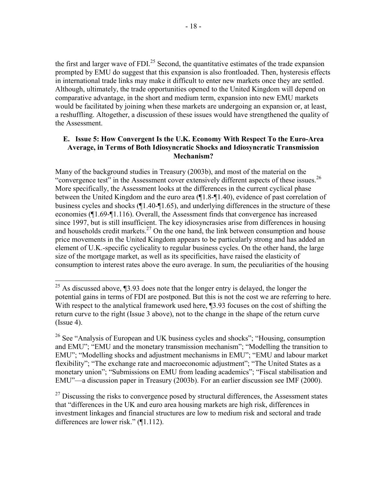the first and larger wave of FDI.<sup>25</sup> Second, the quantitative estimates of the trade expansion prompted by EMU do suggest that this expansion is also frontloaded. Then, hysteresis effects in international trade links may make it difficult to enter new markets once they are settled. Although, ultimately, the trade opportunities opened to the United Kingdom will depend on comparative advantage, in the short and medium term, expansion into new EMU markets would be facilitated by joining when these markets are undergoing an expansion or, at least, a reshuffling. Altogether, a discussion of these issues would have strengthened the quality of the Assessment.

#### **E. Issue 5: How Convergent Is the U.K. Economy With Respect To the Euro-Area Average, in Terms of Both Idiosyncratic Shocks and Idiosyncratic Transmission Mechanism?**

Many of the background studies in Treasury (2003b), and most of the material on the "convergence test" in the Assessment cover extensively different aspects of these issues.<sup>26</sup> More specifically, the Assessment looks at the differences in the current cyclical phase between the United Kingdom and the euro area (¶1.8-¶1.40), evidence of past correlation of business cycles and shocks (¶1.40-¶1.65), and underlying differences in the structure of these economies (¶1.69-¶1.116). Overall, the Assessment finds that convergence has increased since 1997, but is still insufficient. The key idiosyncrasies arise from differences in housing and households credit markets.<sup>27</sup> On the one hand, the link between consumption and house price movements in the United Kingdom appears to be particularly strong and has added an element of U.K.-specific cyclicality to regular business cycles. On the other hand, the large size of the mortgage market, as well as its specificities, have raised the elasticity of consumption to interest rates above the euro average. In sum, the peculiarities of the housing

<sup>&</sup>lt;sup>25</sup> As discussed above,  $\P$ 3.93 does note that the longer entry is delayed, the longer the potential gains in terms of FDI are postponed. But this is not the cost we are referring to here. With respect to the analytical framework used here,  $\square$ 3.93 focuses on the cost of shifting the return curve to the right (Issue 3 above), not to the change in the shape of the return curve  $(Issue 4)$ .

 $26$  See "Analysis of European and UK business cycles and shocks"; "Housing, consumption and EMU"; "EMU and the monetary transmission mechanism"; "Modelling the transition to EMU"; "Modelling shocks and adjustment mechanisms in EMU"; "EMU and labour market flexibility"; "The exchange rate and macroeconomic adjustment"; "The United States as a monetary union"; "Submissions on EMU from leading academics"; "Fiscal stabilisation and EMU"—a discussion paper in Treasury (2003b). For an earlier discussion see IMF (2000).

 $^{27}$  Discussing the risks to convergence posed by structural differences, the Assessment states that "differences in the UK and euro area housing markets are high risk, differences in investment linkages and financial structures are low to medium risk and sectoral and trade differences are lower risk." (¶1.112).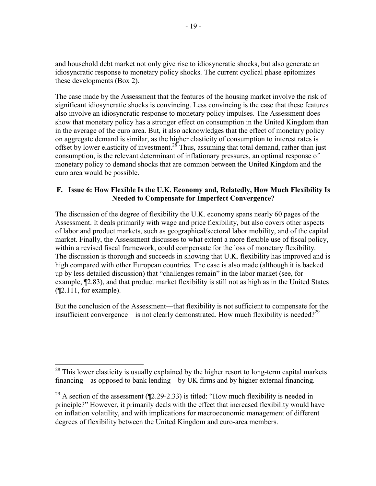and household debt market not only give rise to idiosyncratic shocks, but also generate an idiosyncratic response to monetary policy shocks. The current cyclical phase epitomizes these developments (Box 2).

The case made by the Assessment that the features of the housing market involve the risk of significant idiosyncratic shocks is convincing. Less convincing is the case that these features also involve an idiosyncratic response to monetary policy impulses. The Assessment does show that monetary policy has a stronger effect on consumption in the United Kingdom than in the average of the euro area. But, it also acknowledges that the effect of monetary policy on aggregate demand is similar, as the higher elasticity of consumption to interest rates is offset by lower elasticity of investment.<sup>28</sup> Thus, assuming that total demand, rather than just consumption, is the relevant determinant of inflationary pressures, an optimal response of monetary policy to demand shocks that are common between the United Kingdom and the euro area would be possible.

## **F. Issue 6: How Flexible Is the U.K. Economy and, Relatedly, How Much Flexibility Is Needed to Compensate for Imperfect Convergence?**

The discussion of the degree of flexibility the U.K. economy spans nearly 60 pages of the Assessment. It deals primarily with wage and price flexibility, but also covers other aspects of labor and product markets, such as geographical/sectoral labor mobility, and of the capital market. Finally, the Assessment discusses to what extent a more flexible use of fiscal policy, within a revised fiscal framework, could compensate for the loss of monetary flexibility. The discussion is thorough and succeeds in showing that U.K. flexibility has improved and is high compared with other European countries. The case is also made (although it is backed up by less detailed discussion) that "challenges remain" in the labor market (see, for example, ¶2.83), and that product market flexibility is still not as high as in the United States (¶2.111, for example).

But the conclusion of the Assessment—that flexibility is not sufficient to compensate for the insufficient convergence—is not clearly demonstrated. How much flexibility is needed?<sup>29</sup>

1

 $28$  This lower elasticity is usually explained by the higher resort to long-term capital markets financing—as opposed to bank lending—by UK firms and by higher external financing.

<sup>&</sup>lt;sup>29</sup> A section of the assessment ( $\mathbb{I}2.29$ -2.33) is titled: "How much flexibility is needed in principle?" However, it primarily deals with the effect that increased flexibility would have on inflation volatility, and with implications for macroeconomic management of different degrees of flexibility between the United Kingdom and euro-area members.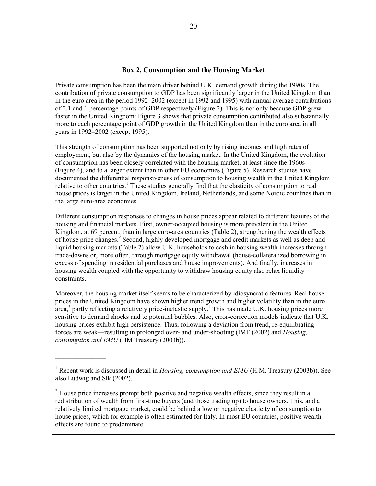## **Box 2. Consumption and the Housing Market**

Private consumption has been the main driver behind U.K. demand growth during the 1990s. The contribution of private consumption to GDP has been significantly larger in the United Kingdom than in the euro area in the period 1992–2002 (except in 1992 and 1995) with annual average contributions of 2.1 and 1 percentage points of GDP respectively (Figure 2). This is not only because GDP grew faster in the United Kingdom: Figure 3 shows that private consumption contributed also substantially more to each percentage point of GDP growth in the United Kingdom than in the euro area in all years in 1992–2002 (except 1995).

This strength of consumption has been supported not only by rising incomes and high rates of employment, but also by the dynamics of the housing market. In the United Kingdom, the evolution of consumption has been closely correlated with the housing market, at least since the 1960s (Figure 4), and to a larger extent than in other EU economies (Figure 5). Research studies have documented the differential responsiveness of consumption to housing wealth in the United Kingdom relative to other countries.<sup>1</sup> These studies generally find that the elasticity of consumption to real house prices is larger in the United Kingdom, Ireland, Netherlands, and some Nordic countries than in the large euro-area economies.

Different consumption responses to changes in house prices appear related to different features of the housing and financial markets. First, owner-occupied housing is more prevalent in the United Kingdom, at 69 percent, than in large euro-area countries (Table 2), strengthening the wealth effects of house price changes.<sup>2</sup> Second, highly developed mortgage and credit markets as well as deep and liquid housing markets (Table 2) allow U.K. households to cash in housing wealth increases through trade-downs or, more often, through mortgage equity withdrawal (house-collateralized borrowing in excess of spending in residential purchases and house improvements). And finally, increases in housing wealth coupled with the opportunity to withdraw housing equity also relax liquidity constraints.

Moreover, the housing market itself seems to be characterized by idiosyncratic features. Real house prices in the United Kingdom have shown higher trend growth and higher volatility than in the euro  $\alpha$  area,<sup>3</sup> partly reflecting a relatively price-inelastic supply.<sup>4</sup> This has made U.K. housing prices more sensitive to demand shocks and to potential bubbles. Also, error-correction models indicate that U.K. housing prices exhibit high persistence. Thus, following a deviation from trend, re-equilibrating forces are weak—resulting in prolonged over- and under-shooting (IMF (2002) and *Housing, consumption and EMU* (HM Treasury (2003b)).

<sup>1</sup> Recent work is discussed in detail in *Housing, consumption and EMU* (H.M. Treasury (2003b)). See also Ludwig and Slk (2002).

 $\mathcal{L}_\text{max}$ 

 $2<sup>2</sup>$  House price increases prompt both positive and negative wealth effects, since they result in a redistribution of wealth from first-time buyers (and those trading up) to house owners. This, and a relatively limited mortgage market, could be behind a low or negative elasticity of consumption to house prices, which for example is often estimated for Italy. In most EU countries, positive wealth effects are found to predominate.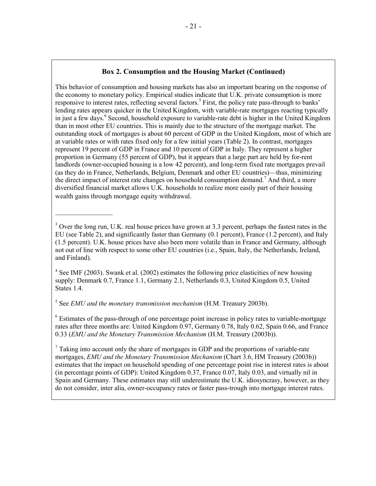## **Box 2. Consumption and the Housing Market (Continued)**

This behavior of consumption and housing markets has also an important bearing on the response of the economy to monetary policy. Empirical studies indicate that U.K. private consumption is more responsive to interest rates, reflecting several factors.<sup>5</sup> First, the policy rate pass-through to banks' lending rates appears quicker in the United Kingdom, with variable-rate mortgages reacting typically in just a few days.<sup>6</sup> Second, household exposure to variable-rate debt is higher in the United Kingdom than in most other EU countries. This is mainly due to the structure of the mortgage market. The outstanding stock of mortgages is about 60 percent of GDP in the United Kingdom, most of which are at variable rates or with rates fixed only for a few initial years (Table 2). In contrast, mortgages represent 19 percent of GDP in France and 10 percent of GDP in Italy. They represent a higher proportion in Germany (55 percent of GDP), but it appears that a large part are held by for-rent landlords (owner-occupied housing is a low 42 percent), and long-term fixed rate mortgages prevail (as they do in France, Netherlands, Belgium, Denmark and other EU countries)—thus, minimizing the direct impact of interest rate changes on household consumption demand.<sup>7</sup> And third, a more diversified financial market allows U.K. households to realize more easily part of their housing wealth gains through mortgage equity withdrawal.

 $4$  See IMF (2003). Swank et al. (2002) estimates the following price elasticities of new housing supply: Denmark 0.7, France 1.1, Germany 2.1, Netherlands 0.3, United Kingdom 0.5, United States 1.4.

5 See *EMU and the monetary transmission mechanism* (H.M. Treasury 2003b).

 $\mathcal{L}_\text{max}$ 

<sup>6</sup> Estimates of the pass-through of one percentage point increase in policy rates to variable-mortgage rates after three months are: United Kingdom 0.97, Germany 0.78, Italy 0.62, Spain 0.66, and France 0.33 (*EMU and the Monetary Transmission Mechanism* (H.M. Treasury (2003b)).

 $7$  Taking into account only the share of mortgages in GDP and the proportions of variable-rate mortgages, *EMU and the Monetary Transmission Mechanism* (Chart 3.6, HM Treasury (2003b)) estimates that the impact on household spending of one percentage point rise in interest rates is about (in percentage points of GDP): United Kingdom 0.37, France 0.07, Italy 0.03, and virtually nil in Spain and Germany. These estimates may still underestimate the U.K. idiosyncrasy, however, as they do not consider, inter alia, owner-occupancy rates or faster pass-trough into mortgage interest rates.

 $3$  Over the long run, U.K. real house prices have grown at 3.3 percent, perhaps the fastest rates in the EU (see Table 2), and significantly faster than Germany (0.1 percent), France (1.2 percent), and Italy (1.5 percent). U.K. house prices have also been more volatile than in France and Germany, although not out of line with respect to some other EU countries (i.e., Spain, Italy, the Netherlands, Ireland, and Finland).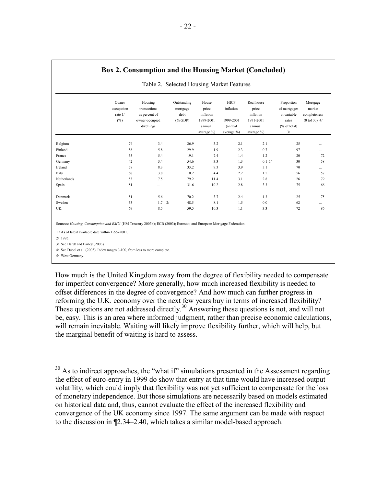|             | Owner<br>occupation<br>rate 1/<br>$(\% )$ | Housing<br>transactions<br>as percent of<br>owner-occupied<br>dwellings | Outstanding<br>mortgage<br>debt<br>$(\%$ GDP) | House<br>price<br>inflation<br>1999-2001<br>(annual | HICP<br>inflation<br>1999-2001<br>(annual | Real house<br>price<br>inflation<br>1971-2001<br>(annual | Proportion<br>of mortgages<br>at variable<br>rates<br>% of total) | Mortgage<br>market<br>completeness<br>$(0 to 100)$ 4/ |
|-------------|-------------------------------------------|-------------------------------------------------------------------------|-----------------------------------------------|-----------------------------------------------------|-------------------------------------------|----------------------------------------------------------|-------------------------------------------------------------------|-------------------------------------------------------|
|             |                                           |                                                                         |                                               | average %)                                          | average %)                                | average %)                                               | 3/                                                                |                                                       |
| Belgium     | 74                                        | 3.4                                                                     | 26.9                                          | 3.2                                                 | 2.1                                       | 2.1                                                      | 25                                                                |                                                       |
| Finland     | 58                                        | 5.8                                                                     | 29.9                                          | 1.9                                                 | 2.3                                       | 0.7                                                      | 97                                                                |                                                       |
| France      | 55                                        | 5.4                                                                     | 19.1                                          | 7.4                                                 | 1.4                                       | 1.2                                                      | 20                                                                | 72                                                    |
| Germany     | 42                                        | 3.4                                                                     | 54.6                                          | $-3.3$                                              | 1.3                                       | 0.15/                                                    | 30                                                                | 58                                                    |
| Ireland     | 78                                        | 8.3                                                                     | 33.2                                          | 9.3                                                 | 3.9                                       | 3.1                                                      | 70                                                                |                                                       |
| Italy       | 68                                        | 3.8                                                                     | 10.2                                          | 4.4                                                 | 2.2                                       | 1.5                                                      | 56                                                                | 57                                                    |
| Netherlands | 53                                        | 7.5                                                                     | 79.2                                          | 11.4                                                | 3.1                                       | 2.8                                                      | 26                                                                | 79                                                    |
| Spain       | 81                                        |                                                                         | 31.6                                          | 10.2                                                | 2.8                                       | 3.3                                                      | 75                                                                | 66                                                    |
| Denmark     | 51                                        | 5.6                                                                     | 70.2                                          | 3.7                                                 | 2.4                                       | 1.3                                                      | 25                                                                | 75                                                    |
| Sweden      | 53                                        | $1.7 \quad 2/$                                                          | 48.5                                          | 8.1                                                 | 1.5                                       | 0.0                                                      | 62                                                                |                                                       |
| UK          | 69                                        | 8.5                                                                     | 59.5                                          | 10.3                                                | 1.1                                       | 3.3                                                      | 72                                                                | 86                                                    |

#### **Box 2. Consumption and the Housing Market (Concluded)**

Sources: *Housing, Consumption and EMU* (HM Treasury 2003b); ECB (2003); Eurostat; and European Mortgage Federation.

1 / As of latest available date within 1999-2001.

2/ 1995.

1

3/ See Hardt and Earley (2003).

4/ See Dubel et al. (2003). Index ranges 0-100, from less to more complete.

5/ West Germany.

How much is the United Kingdom away from the degree of flexibility needed to compensate for imperfect convergence? More generally, how much increased flexibility is needed to offset differences in the degree of convergence? And how much can further progress in reforming the U.K. economy over the next few years buy in terms of increased flexibility? These questions are not addressed directly.<sup>30</sup> Answering these questions is not, and will not be, easy. This is an area where informed judgment, rather than precise economic calculations, will remain inevitable. Waiting will likely improve flexibility further, which will help, but the marginal benefit of waiting is hard to assess.

 $30$  As to indirect approaches, the "what if" simulations presented in the Assessment regarding the effect of euro-entry in 1999 do show that entry at that time would have increased output volatility, which could imply that flexibility was not yet sufficient to compensate for the loss of monetary independence. But those simulations are necessarily based on models estimated on historical data and, thus, cannot evaluate the effect of the increased flexibility and convergence of the UK economy since 1997. The same argument can be made with respect to the discussion in ¶2.34–2.40, which takes a similar model-based approach.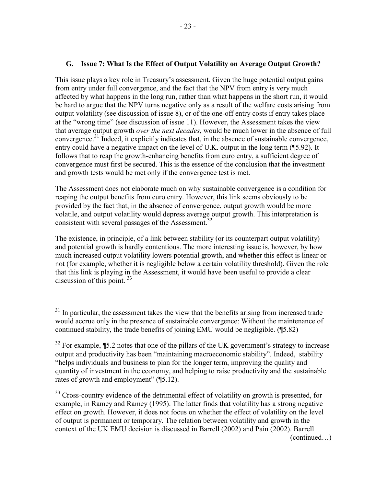## **G. Issue 7: What Is the Effect of Output Volatility on Average Output Growth?**

This issue plays a key role in Treasury's assessment. Given the huge potential output gains from entry under full convergence, and the fact that the NPV from entry is very much affected by what happens in the long run, rather than what happens in the short run, it would be hard to argue that the NPV turns negative only as a result of the welfare costs arising from output volatility (see discussion of issue 8), or of the one-off entry costs if entry takes place at the "wrong time" (see discussion of issue 11). However, the Assessment takes the view that average output growth *over the next decades*, would be much lower in the absence of full convergence.<sup>31</sup> Indeed, it explicitly indicates that, in the absence of sustainable convergence, entry could have a negative impact on the level of U.K. output in the long term (¶5.92). It follows that to reap the growth-enhancing benefits from euro entry, a sufficient degree of convergence must first be secured. This is the essence of the conclusion that the investment and growth tests would be met only if the convergence test is met.

The Assessment does not elaborate much on why sustainable convergence is a condition for reaping the output benefits from euro entry. However, this link seems obviously to be provided by the fact that, in the absence of convergence, output growth would be more volatile, and output volatility would depress average output growth. This interpretation is consistent with several passages of the Assessment.<sup>32</sup>

The existence, in principle, of a link between stability (or its counterpart output volatility) and potential growth is hardly contentious. The more interesting issue is, however, by how much increased output volatility lowers potential growth, and whether this effect is linear or not (for example, whether it is negligible below a certain volatility threshold). Given the role that this link is playing in the Assessment, it would have been useful to provide a clear discussion of this point.<sup>33</sup>

 $\overline{a}$ 

(continued…)

 $31$  In particular, the assessment takes the view that the benefits arising from increased trade would accrue only in the presence of sustainable convergence: Without the maintenance of continued stability, the trade benefits of joining EMU would be negligible. (¶5.82)

 $32$  For example,  $$5.2$  notes that one of the pillars of the UK government's strategy to increase output and productivity has been "maintaining macroeconomic stability". Indeed, stability "helps individuals and business to plan for the longer term, improving the quality and quantity of investment in the economy, and helping to raise productivity and the sustainable rates of growth and employment" (¶5.12).

<sup>&</sup>lt;sup>33</sup> Cross-country evidence of the detrimental effect of volatility on growth is presented, for example, in Ramey and Ramey (1995). The latter finds that volatility has a strong negative effect on growth. However, it does not focus on whether the effect of volatility on the level of output is permanent or temporary. The relation between volatility and growth in the context of the UK EMU decision is discussed in Barrell (2002) and Pain (2002). Barrell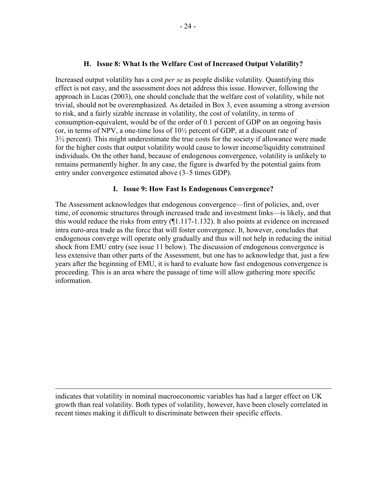#### **H. Issue 8: What Is the Welfare Cost of Increased Output Volatility?**

Increased output volatility has a cost *per se* as people dislike volatility. Quantifying this effect is not easy, and the assessment does not address this issue. However, following the approach in Lucas (2003), one should conclude that the welfare cost of volatility, while not trivial, should not be overemphasized. As detailed in Box 3, even assuming a strong aversion to risk, and a fairly sizable increase in volatility, the cost of volatility, in terms of consumption-equivalent, would be of the order of 0.1 percent of GDP on an ongoing basis (or, in terms of NPV, a one-time loss of 10½ percent of GDP, at a discount rate of 3½ percent). This might underestimate the true costs for the society if allowance were made for the higher costs that output volatility would cause to lower income/liquidity constrained individuals. On the other hand, because of endogenous convergence, volatility is unlikely to remains permanently higher. In any case, the figure is dwarfed by the potential gains from entry under convergence estimated above (3–5 times GDP).

#### **I. Issue 9: How Fast Is Endogenous Convergence?**

The Assessment acknowledges that endogenous convergence—first of policies, and, over time, of economic structures through increased trade and investment links—is likely, and that this would reduce the risks from entry (¶1.117-1.132). It also points at evidence on increased intra euro-area trade as the force that will foster convergence. It, however, concludes that endogenous converge will operate only gradually and thus will not help in reducing the initial shock from EMU entry (see issue 11 below). The discussion of endogenous convergence is less extensive than other parts of the Assessment, but one has to acknowledge that, just a few years after the beginning of EMU, it is hard to evaluate how fast endogenous convergence is proceeding. This is an area where the passage of time will allow gathering more specific information.

indicates that volatility in nominal macroeconomic variables has had a larger effect on UK growth than real volatility. Both types of volatility, however, have been closely correlated in recent times making it difficult to discriminate between their specific effects.

<u>.</u>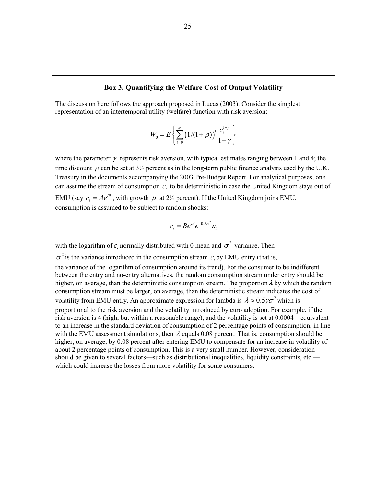#### **Box 3. Quantifying the Welfare Cost of Output Volatility**

The discussion here follows the approach proposed in Lucas (2003). Consider the simplest representation of an intertemporal utility (welfare) function with risk aversion:

$$
W_0 = E\left\{\sum_{t=0}^{\infty} \left(1/(1+\rho)\right)^t \frac{c_t^{1-\gamma}}{1-\gamma}\right\}
$$

where the parameter  $\gamma$  represents risk aversion, with typical estimates ranging between 1 and 4; the time discount  $\rho$  can be set at  $3\frac{1}{2}$  percent as in the long-term public finance analysis used by the U.K. Treasury in the documents accompanying the 2003 Pre-Budget Report. For analytical purposes, one can assume the stream of consumption  $c<sub>r</sub>$  to be deterministic in case the United Kingdom stays out of EMU (say  $c_t = Ae^{\mu t}$ , with growth  $\mu$  at 2<sup>1</sup>/<sub>2</sub> percent). If the United Kingdom joins EMU, consumption is assumed to be subject to random shocks:

$$
c_t = Be^{\mu t}e^{-0.5\sigma^2}\varepsilon_t
$$

with the logarithm of  $\varepsilon$ , normally distributed with 0 mean and  $\sigma^2$  variance. Then

 $\sigma^2$  is the variance introduced in the consumption stream  $c<sub>r</sub>$  by EMU entry (that is,

the variance of the logarithm of consumption around its trend). For the consumer to be indifferent between the entry and no-entry alternatives, the random consumption stream under entry should be higher, on average, than the deterministic consumption stream. The proportion  $\lambda$  by which the random consumption stream must be larger, on average, than the deterministic stream indicates the cost of volatility from EMU entry. An approximate expression for lambda is  $\lambda \approx 0.5 \gamma \sigma^2$  which is proportional to the risk aversion and the volatility introduced by euro adoption. For example, if the risk aversion is 4 (high, but within a reasonable range), and the volatility is set at 0.0004—equivalent to an increase in the standard deviation of consumption of 2 percentage points of consumption, in line with the EMU assessment simulations, then  $\lambda$  equals 0.08 percent. That is, consumption should be higher, on average, by 0.08 percent after entering EMU to compensate for an increase in volatility of about 2 percentage points of consumption. This is a very small number. However, consideration should be given to several factors—such as distributional inequalities, liquidity constraints, etc. which could increase the losses from more volatility for some consumers.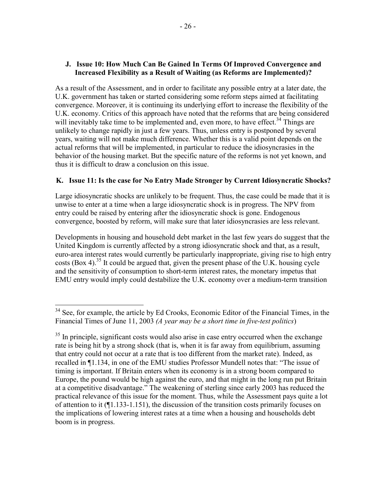## **J. Issue 10: How Much Can Be Gained In Terms Of Improved Convergence and Increased Flexibility as a Result of Waiting (as Reforms are Implemented)?**

As a result of the Assessment, and in order to facilitate any possible entry at a later date, the U.K. government has taken or started considering some reform steps aimed at facilitating convergence. Moreover, it is continuing its underlying effort to increase the flexibility of the U.K. economy. Critics of this approach have noted that the reforms that are being considered will inevitably take time to be implemented and, even more, to have effect.<sup>34</sup> Things are unlikely to change rapidly in just a few years. Thus, unless entry is postponed by several years, waiting will not make much difference. Whether this is a valid point depends on the actual reforms that will be implemented, in particular to reduce the idiosyncrasies in the behavior of the housing market. But the specific nature of the reforms is not yet known, and thus it is difficult to draw a conclusion on this issue.

## **K. Issue 11: Is the case for No Entry Made Stronger by Current Idiosyncratic Shocks?**

Large idiosyncratic shocks are unlikely to be frequent. Thus, the case could be made that it is unwise to enter at a time when a large idiosyncratic shock is in progress. The NPV from entry could be raised by entering after the idiosyncratic shock is gone. Endogenous convergence, boosted by reform, will make sure that later idiosyncrasies are less relevant.

Developments in housing and household debt market in the last few years do suggest that the United Kingdom is currently affected by a strong idiosyncratic shock and that, as a result, euro-area interest rates would currently be particularly inappropriate, giving rise to high entry costs  $(Box 4)$ <sup>35</sup> It could be argued that, given the present phase of the U.K. housing cycle and the sensitivity of consumption to short-term interest rates, the monetary impetus that EMU entry would imply could destabilize the U.K. economy over a medium-term transition

 $34$  See, for example, the article by Ed Crooks, Economic Editor of the Financial Times, in the Financial Times of June 11, 2003 *(A year may be a short time in five-test politics*)

 $35$  In principle, significant costs would also arise in case entry occurred when the exchange rate is being hit by a strong shock (that is, when it is far away from equilibrium, assuming that entry could not occur at a rate that is too different from the market rate). Indeed, as recalled in ¶1.134, in one of the EMU studies Professor Mundell notes that: "The issue of timing is important. If Britain enters when its economy is in a strong boom compared to Europe, the pound would be high against the euro, and that might in the long run put Britain at a competitive disadvantage." The weakening of sterling since early 2003 has reduced the practical relevance of this issue for the moment. Thus, while the Assessment pays quite a lot of attention to it (¶1.133-1.151), the discussion of the transition costs primarily focuses on the implications of lowering interest rates at a time when a housing and households debt boom is in progress.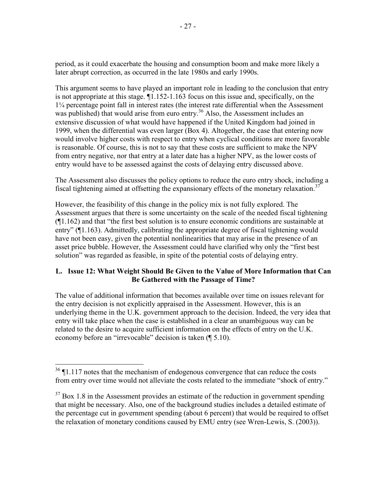period, as it could exacerbate the housing and consumption boom and make more likely a later abrupt correction, as occurred in the late 1980s and early 1990s.

This argument seems to have played an important role in leading to the conclusion that entry is not appropriate at this stage. ¶1.152-1.163 focus on this issue and, specifically, on the 1¼ percentage point fall in interest rates (the interest rate differential when the Assessment was published) that would arise from euro entry.<sup>36</sup> Also, the Assessment includes an extensive discussion of what would have happened if the United Kingdom had joined in 1999, when the differential was even larger (Box 4). Altogether, the case that entering now would involve higher costs with respect to entry when cyclical conditions are more favorable is reasonable. Of course, this is not to say that these costs are sufficient to make the NPV from entry negative, nor that entry at a later date has a higher NPV, as the lower costs of entry would have to be assessed against the costs of delaying entry discussed above.

The Assessment also discusses the policy options to reduce the euro entry shock, including a fiscal tightening aimed at offsetting the expansionary effects of the monetary relaxation.<sup>37</sup>

However, the feasibility of this change in the policy mix is not fully explored. The Assessment argues that there is some uncertainty on the scale of the needed fiscal tightening (¶1.162) and that "the first best solution is to ensure economic conditions are sustainable at entry" (¶1.163). Admittedly, calibrating the appropriate degree of fiscal tightening would have not been easy, given the potential nonlinearities that may arise in the presence of an asset price bubble. However, the Assessment could have clarified why only the "first best solution" was regarded as feasible, in spite of the potential costs of delaying entry.

## **L. Issue 12: What Weight Should Be Given to the Value of More Information that Can Be Gathered with the Passage of Time?**

The value of additional information that becomes available over time on issues relevant for the entry decision is not explicitly appraised in the Assessment. However, this is an underlying theme in the U.K. government approach to the decision. Indeed, the very idea that entry will take place when the case is established in a clear an unambiguous way can be related to the desire to acquire sufficient information on the effects of entry on the U.K. economy before an "irrevocable" decision is taken (¶ 5.10).

 $36$   $\P$ 1.117 notes that the mechanism of endogenous convergence that can reduce the costs from entry over time would not alleviate the costs related to the immediate "shock of entry."

 $37$  Box 1.8 in the Assessment provides an estimate of the reduction in government spending that might be necessary. Also, one of the background studies includes a detailed estimate of the percentage cut in government spending (about 6 percent) that would be required to offset the relaxation of monetary conditions caused by EMU entry (see Wren-Lewis, S. (2003)).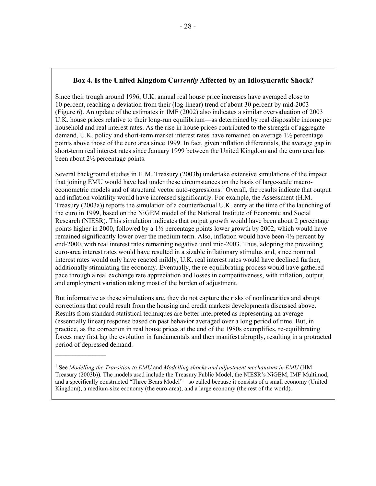## **Box 4. Is the United Kingdom C***urrently* **Affected by an Idiosyncratic Shock?**

Since their trough around 1996, U.K. annual real house price increases have averaged close to 10 percent, reaching a deviation from their (log-linear) trend of about 30 percent by mid-2003 (Figure 6). An update of the estimates in IMF (2002) also indicates a similar overvaluation of 2003 U.K. house prices relative to their long-run equilibrium—as determined by real disposable income per household and real interest rates. As the rise in house prices contributed to the strength of aggregate demand, U.K. policy and short-term market interest rates have remained on average 1½ percentage points above those of the euro area since 1999. In fact, given inflation differentials, the average gap in short-term real interest rates since January 1999 between the United Kingdom and the euro area has been about 2½ percentage points.

Several background studies in H.M. Treasury (2003b) undertake extensive simulations of the impact that joining EMU would have had under these circumstances on the basis of large-scale macroeconometric models and of structural vector auto-regressions.<sup>1</sup> Overall, the results indicate that output and inflation volatility would have increased significantly. For example, the Assessment (H.M. Treasury (2003a)) reports the simulation of a counterfactual U.K. entry at the time of the launching of the euro in 1999, based on the NiGEM model of the National Institute of Economic and Social Research (NIESR). This simulation indicates that output growth would have been about 2 percentage points higher in 2000, followed by a 1½ percentage points lower growth by 2002, which would have remained significantly lower over the medium term. Also, inflation would have been 4½ percent by end-2000, with real interest rates remaining negative until mid-2003. Thus, adopting the prevailing euro-area interest rates would have resulted in a sizable inflationary stimulus and, since nominal interest rates would only have reacted mildly, U.K. real interest rates would have declined further, additionally stimulating the economy. Eventually, the re-equilibrating process would have gathered pace through a real exchange rate appreciation and losses in competitiveness, with inflation, output, and employment variation taking most of the burden of adjustment.

But informative as these simulations are, they do not capture the risks of nonlinearities and abrupt corrections that could result from the housing and credit markets developments discussed above. Results from standard statistical techniques are better interpreted as representing an average (essentially linear) response based on past behavior averaged over a long period of time. But, in practice, as the correction in real house prices at the end of the 1980s exemplifies, re-equilibrating forces may first lag the evolution in fundamentals and then manifest abruptly, resulting in a protracted period of depressed demand.

<sup>1</sup> See *Modelling the Transition to EMU* and *Modelling shocks and adjustment mechanisms in EMU* (HM Treasury (2003b)). The models used include the Treasury Public Model, the NIESR's NiGEM, IMF Multimod, and a specifically constructed "Three Bears Model"—so called because it consists of a small economy (United Kingdom), a medium-size economy (the euro-area), and a large economy (the rest of the world).

 $\mathcal{L}_\text{max}$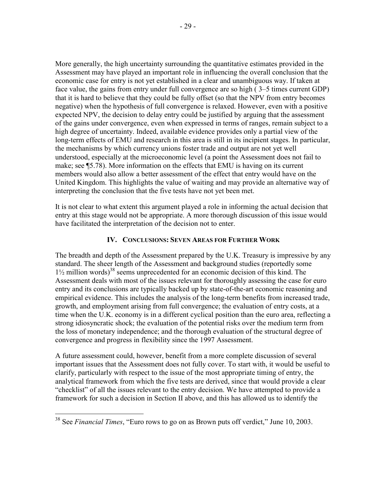More generally, the high uncertainty surrounding the quantitative estimates provided in the Assessment may have played an important role in influencing the overall conclusion that the economic case for entry is not yet established in a clear and unambiguous way. If taken at face value, the gains from entry under full convergence are so high ( 3–5 times current GDP) that it is hard to believe that they could be fully offset (so that the NPV from entry becomes negative) when the hypothesis of full convergence is relaxed. However, even with a positive expected NPV, the decision to delay entry could be justified by arguing that the assessment of the gains under convergence, even when expressed in terms of ranges, remain subject to a high degree of uncertainty. Indeed, available evidence provides only a partial view of the long-term effects of EMU and research in this area is still in its incipient stages. In particular, the mechanisms by which currency unions foster trade and output are not yet well understood, especially at the microeconomic level (a point the Assessment does not fail to make; see ¶5.78). More information on the effects that EMU is having on its current members would also allow a better assessment of the effect that entry would have on the United Kingdom. This highlights the value of waiting and may provide an alternative way of interpreting the conclusion that the five tests have not yet been met.

It is not clear to what extent this argument played a role in informing the actual decision that entry at this stage would not be appropriate. A more thorough discussion of this issue would have facilitated the interpretation of the decision not to enter.

## **IV. CONCLUSIONS: SEVEN AREAS FOR FURTHER WORK**

The breadth and depth of the Assessment prepared by the U.K. Treasury is impressive by any standard. The sheer length of the Assessment and background studies (reportedly some  $1\frac{1}{2}$  million words)<sup>38</sup> seems unprecedented for an economic decision of this kind. The Assessment deals with most of the issues relevant for thoroughly assessing the case for euro entry and its conclusions are typically backed up by state-of-the-art economic reasoning and empirical evidence. This includes the analysis of the long-term benefits from increased trade, growth, and employment arising from full convergence; the evaluation of entry costs, at a time when the U.K. economy is in a different cyclical position than the euro area, reflecting a strong idiosyncratic shock; the evaluation of the potential risks over the medium term from the loss of monetary independence; and the thorough evaluation of the structural degree of convergence and progress in flexibility since the 1997 Assessment.

A future assessment could, however, benefit from a more complete discussion of several important issues that the Assessment does not fully cover. To start with, it would be useful to clarify, particularly with respect to the issue of the most appropriate timing of entry, the analytical framework from which the five tests are derived, since that would provide a clear "checklist" of all the issues relevant to the entry decision. We have attempted to provide a framework for such a decision in Section II above, and this has allowed us to identify the

<sup>38</sup> See *Financial Times*, "Euro rows to go on as Brown puts off verdict," June 10, 2003.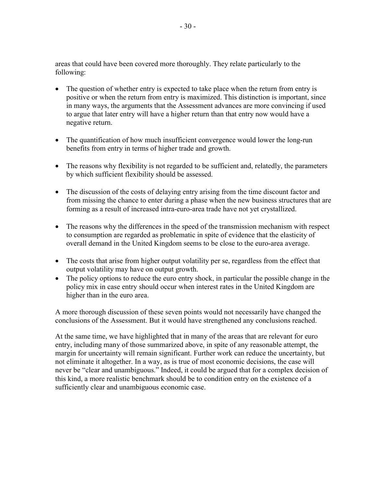areas that could have been covered more thoroughly. They relate particularly to the following:

- The question of whether entry is expected to take place when the return from entry is positive or when the return from entry is maximized. This distinction is important, since in many ways, the arguments that the Assessment advances are more convincing if used to argue that later entry will have a higher return than that entry now would have a negative return.
- The quantification of how much insufficient convergence would lower the long-run benefits from entry in terms of higher trade and growth.
- The reasons why flexibility is not regarded to be sufficient and, relatedly, the parameters by which sufficient flexibility should be assessed.
- The discussion of the costs of delaying entry arising from the time discount factor and from missing the chance to enter during a phase when the new business structures that are forming as a result of increased intra-euro-area trade have not yet crystallized.
- The reasons why the differences in the speed of the transmission mechanism with respect to consumption are regarded as problematic in spite of evidence that the elasticity of overall demand in the United Kingdom seems to be close to the euro-area average.
- The costs that arise from higher output volatility per se, regardless from the effect that output volatility may have on output growth.
- The policy options to reduce the euro entry shock, in particular the possible change in the policy mix in case entry should occur when interest rates in the United Kingdom are higher than in the euro area.

A more thorough discussion of these seven points would not necessarily have changed the conclusions of the Assessment. But it would have strengthened any conclusions reached.

At the same time, we have highlighted that in many of the areas that are relevant for euro entry, including many of those summarized above, in spite of any reasonable attempt, the margin for uncertainty will remain significant. Further work can reduce the uncertainty, but not eliminate it altogether. In a way, as is true of most economic decisions, the case will never be "clear and unambiguous." Indeed, it could be argued that for a complex decision of this kind, a more realistic benchmark should be to condition entry on the existence of a sufficiently clear and unambiguous economic case.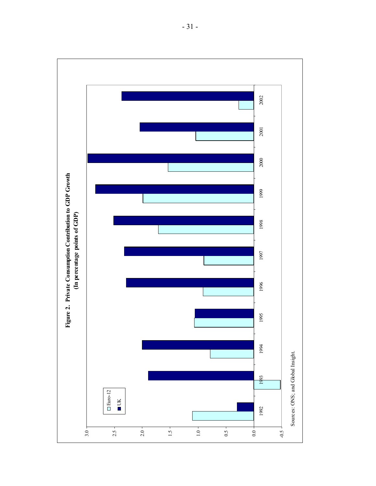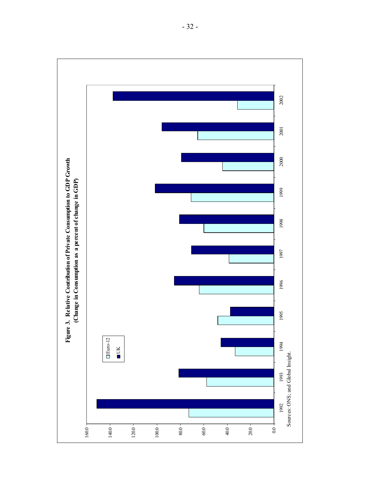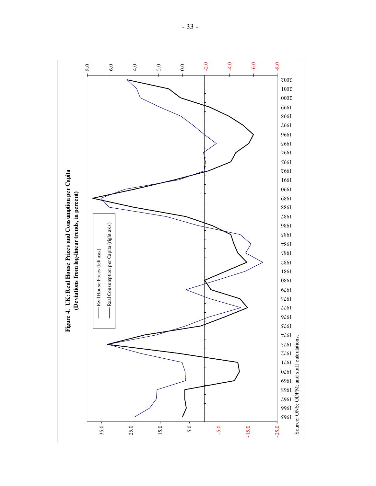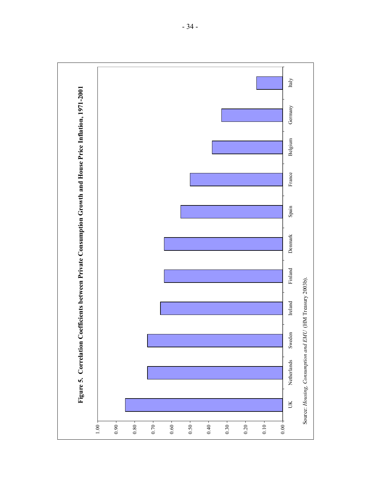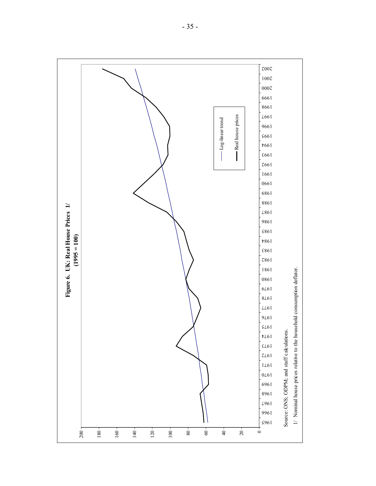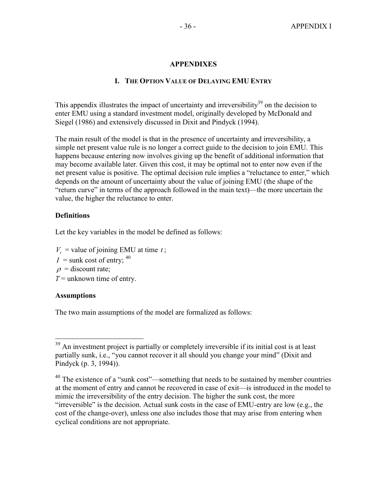## **APPENDIXES**

## **I. THE OPTION VALUE OF DELAYING EMU ENTRY**

This appendix illustrates the impact of uncertainty and irreversibility<sup>39</sup> on the decision to enter EMU using a standard investment model, originally developed by McDonald and Siegel (1986) and extensively discussed in Dixit and Pindyck (1994).

The main result of the model is that in the presence of uncertainty and irreversibility, a simple net present value rule is no longer a correct guide to the decision to join EMU. This happens because entering now involves giving up the benefit of additional information that may become available later. Given this cost, it may be optimal not to enter now even if the net present value is positive. The optimal decision rule implies a "reluctance to enter," which depends on the amount of uncertainty about the value of joining EMU (the shape of the "return curve" in terms of the approach followed in the main text)—the more uncertain the value, the higher the reluctance to enter.

#### **Definitions**

Let the key variables in the model be defined as follows:

- $V_t$  = value of joining EMU at time *t*;
- $I =$ sunk cost of entry; <sup>40</sup>
- $\rho$  = discount rate;
- $T =$  unknown time of entry.

## **Assumptions**

 $\overline{a}$ 

The two main assumptions of the model are formalized as follows:

 $39$  An investment project is partially or completely irreversible if its initial cost is at least partially sunk, i.e., "you cannot recover it all should you change your mind" (Dixit and Pindyck (p. 3, 1994)).

<sup>&</sup>lt;sup>40</sup> The existence of a "sunk cost"—something that needs to be sustained by member countries at the moment of entry and cannot be recovered in case of exit—is introduced in the model to mimic the irreversibility of the entry decision. The higher the sunk cost, the more "irreversible" is the decision. Actual sunk costs in the case of EMU-entry are low (e.g., the cost of the change-over), unless one also includes those that may arise from entering when cyclical conditions are not appropriate.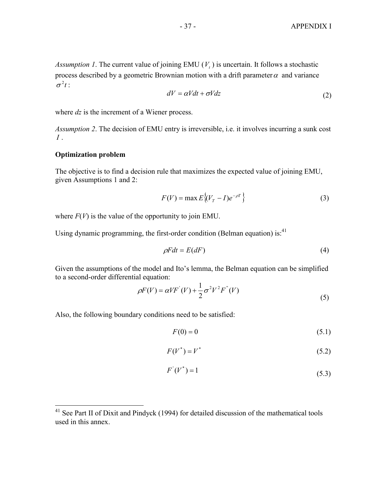*Assumption 1*. The current value of joining EMU  $(V_t)$  is uncertain. It follows a stochastic process described by a geometric Brownian motion with a drift parameter  $\alpha$  and variance  $\sigma^2 t$  :

$$
dV = \alpha Vdt + \sigma Vdz \tag{2}
$$

where *dz* is the increment of a Wiener process.

*Assumption 2*. The decision of EMU entry is irreversible, i.e. it involves incurring a sunk cost *I* .

#### **Optimization problem**

1

The objective is to find a decision rule that maximizes the expected value of joining EMU, given Assumptions 1 and 2:

$$
F(V) = \max E\left\{ (V_T - I)e^{-\rho T} \right\} \tag{3}
$$

where  $F(V)$  is the value of the opportunity to join EMU.

Using dynamic programming, the first-order condition (Belman equation) is:  $41$ 

$$
\rho Fdt = E(dF) \tag{4}
$$

Given the assumptions of the model and Ito's lemma, the Belman equation can be simplified to a second-order differential equation:

$$
\rho F(V) = \alpha V F(V) + \frac{1}{2} \sigma^2 V^2 F''(V)
$$
\n<sup>(5)</sup>

Also, the following boundary conditions need to be satisfied:

$$
F(0) = 0 \tag{5.1}
$$

$$
F(V^*) = V^* \tag{5.2}
$$

$$
F'(V^*) = 1\tag{5.3}
$$

 $41$  See Part II of Dixit and Pindyck (1994) for detailed discussion of the mathematical tools used in this annex.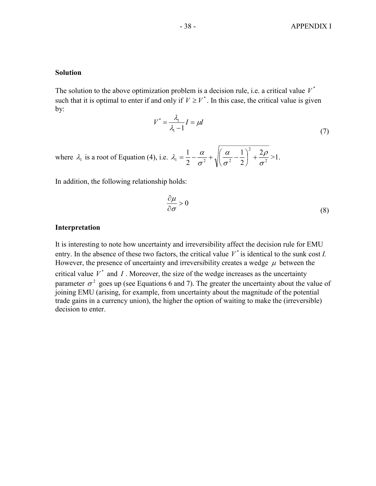#### **Solution**

The solution to the above optimization problem is a decision rule, i.e. a critical value  $V^*$ such that it is optimal to enter if and only if  $V \geq V^*$ . In this case, the critical value is given by:

$$
V^* = \frac{\lambda_1}{\lambda_1 - 1} I = \mu I \tag{7}
$$

where  $\lambda_1$  is a root of Equation (4), i.e.  $\lambda_1 = \frac{1}{2} - \frac{\alpha}{c^2} + \sqrt{\left|\frac{\alpha}{c^2} - \frac{1}{2}\right|} + \frac{2\beta}{c^2}$ 2  $1 - \frac{1}{2} - \frac{1}{2} + \frac{1}{2} = 2$ 2 2 1 2 1 σ ρ σ α  $\lambda_1 = \frac{1}{2} - \frac{\alpha}{\sigma^2} + \sqrt{\left(\frac{\alpha}{\sigma^2} - \frac{1}{2}\right)^2} +$  $\setminus$  $=\frac{1}{2}-\frac{\alpha}{2}+\sqrt{\frac{\alpha}{2}-\frac{1}{2}}+\frac{2\rho}{2}>1.$ 

In addition, the following relationship holds:

$$
\frac{\partial \mu}{\partial \sigma} > 0 \tag{8}
$$

#### **Interpretation**

It is interesting to note how uncertainty and irreversibility affect the decision rule for EMU entry. In the absence of these two factors, the critical value  $V^*$  is identical to the sunk cost *I*. However, the presence of uncertainty and irreversibility creates a wedge  $\mu$  between the critical value  $V^*$  and *I*. Moreover, the size of the wedge increases as the uncertainty parameter  $\sigma^2$  goes up (see Equations 6 and 7). The greater the uncertainty about the value of joining EMU (arising, for example, from uncertainty about the magnitude of the potential trade gains in a currency union), the higher the option of waiting to make the (irreversible) decision to enter.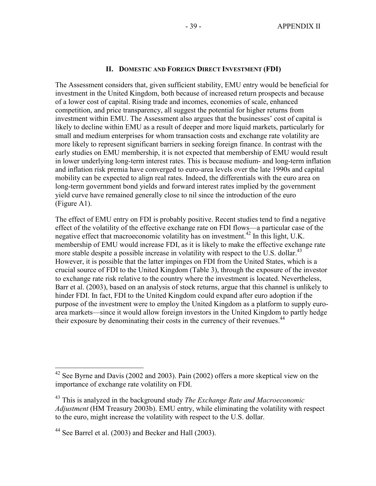#### **II. DOMESTIC AND FOREIGN DIRECT INVESTMENT (FDI)**

The Assessment considers that, given sufficient stability, EMU entry would be beneficial for investment in the United Kingdom, both because of increased return prospects and because of a lower cost of capital. Rising trade and incomes, economies of scale, enhanced competition, and price transparency, all suggest the potential for higher returns from investment within EMU. The Assessment also argues that the businesses' cost of capital is likely to decline within EMU as a result of deeper and more liquid markets, particularly for small and medium enterprises for whom transaction costs and exchange rate volatility are more likely to represent significant barriers in seeking foreign finance. In contrast with the early studies on EMU membership, it is not expected that membership of EMU would result in lower underlying long-term interest rates. This is because medium- and long-term inflation and inflation risk premia have converged to euro-area levels over the late 1990s and capital mobility can be expected to align real rates. Indeed, the differentials with the euro area on long-term government bond yields and forward interest rates implied by the government yield curve have remained generally close to nil since the introduction of the euro (Figure A1).

The effect of EMU entry on FDI is probably positive. Recent studies tend to find a negative effect of the volatility of the effective exchange rate on FDI flows—a particular case of the negative effect that macroeconomic volatility has on investment.<sup>42</sup> In this light, U.K. membership of EMU would increase FDI, as it is likely to make the effective exchange rate more stable despite a possible increase in volatility with respect to the U.S. dollar.<sup>43</sup> However, it is possible that the latter impinges on FDI from the United States, which is a crucial source of FDI to the United Kingdom (Table 3), through the exposure of the investor to exchange rate risk relative to the country where the investment is located. Nevertheless, Barr et al. (2003), based on an analysis of stock returns, argue that this channel is unlikely to hinder FDI. In fact, FDI to the United Kingdom could expand after euro adoption if the purpose of the investment were to employ the United Kingdom as a platform to supply euroarea markets—since it would allow foreign investors in the United Kingdom to partly hedge their exposure by denominating their costs in the currency of their revenues.<sup>44</sup>

 $42$  See Byrne and Davis (2002 and 2003). Pain (2002) offers a more skeptical view on the importance of exchange rate volatility on FDI.

<sup>43</sup> This is analyzed in the background study *The Exchange Rate and Macroeconomic Adjustment* (HM Treasury 2003b). EMU entry, while eliminating the volatility with respect to the euro, might increase the volatility with respect to the U.S. dollar.

<sup>44</sup> See Barrel et al. (2003) and Becker and Hall (2003).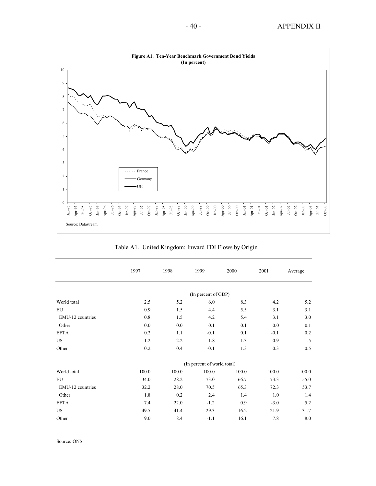

|                  | 1997  | 1998  | 1999                        | 2000  | 2001   | Average |
|------------------|-------|-------|-----------------------------|-------|--------|---------|
|                  |       |       | (In percent of GDP)         |       |        |         |
| World total      | 2.5   | 5.2   | 6.0                         | 8.3   | 4.2    | 5.2     |
| ${\rm EU}$       | 0.9   | 1.5   | 4.4                         | 5.5   | 3.1    | 3.1     |
| EMU-12 countries | 0.8   | 1.5   | 4.2                         | 5.4   | 3.1    | 3.0     |
| Other            | 0.0   | 0.0   | 0.1                         | 0.1   | 0.0    | 0.1     |
| <b>EFTA</b>      | 0.2   | 1.1   | $-0.1$                      | 0.1   | $-0.1$ | 0.2     |
| <b>US</b>        | 1.2   | 2.2   | 1.8                         | 1.3   | 0.9    | 1.5     |
| Other            | 0.2   | 0.4   | $-0.1$                      | 1.3   | 0.3    | 0.5     |
|                  |       |       | (In percent of world total) |       |        |         |
| World total      | 100.0 | 100.0 | 100.0                       | 100.0 | 100.0  | 100.0   |
| <b>EU</b>        | 34.0  | 28.2  | 73.0                        | 66.7  | 73.3   | 55.0    |
| EMU-12 countries | 32.2  | 28.0  | 70.5                        | 65.3  | 72.3   | 53.7    |
| Other            | 1.8   | 0.2   | 2.4                         | 1.4   | 1.0    | 1.4     |
| <b>EFTA</b>      | 7.4   | 22.0  | $-1.2$                      | 0.9   | $-3.0$ | 5.2     |
| <b>US</b>        | 49.5  | 41.4  | 29.3                        | 16.2  | 21.9   | 31.7    |
| Other            | 9.0   | 8.4   | $-1.1$                      | 16.1  | 7.8    | 8.0     |

Table A1. United Kingdom: Inward FDI Flows by Origin

Source: ONS.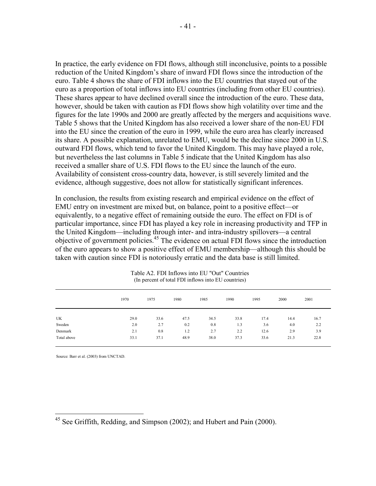In practice, the early evidence on FDI flows, although still inconclusive, points to a possible reduction of the United Kingdom's share of inward FDI flows since the introduction of the euro. Table 4 shows the share of FDI inflows into the EU countries that stayed out of the euro as a proportion of total inflows into EU countries (including from other EU countries). These shares appear to have declined overall since the introduction of the euro. These data, however, should be taken with caution as FDI flows show high volatility over time and the figures for the late 1990s and 2000 are greatly affected by the mergers and acquisitions wave. Table 5 shows that the United Kingdom has also received a lower share of the non-EU FDI into the EU since the creation of the euro in 1999, while the euro area has clearly increased its share. A possible explanation, unrelated to EMU, would be the decline since 2000 in U.S. outward FDI flows, which tend to favor the United Kingdom. This may have played a role, but nevertheless the last columns in Table 5 indicate that the United Kingdom has also received a smaller share of U.S. FDI flows to the EU since the launch of the euro. Availability of consistent cross-country data, however, is still severely limited and the evidence, although suggestive, does not allow for statistically significant inferences.

In conclusion, the results from existing research and empirical evidence on the effect of EMU entry on investment are mixed but, on balance, point to a positive effect—or equivalently, to a negative effect of remaining outside the euro. The effect on FDI is of particular importance, since FDI has played a key role in increasing productivity and TFP in the United Kingdom—including through inter- and intra-industry spillovers—a central objective of government policies.45 The evidence on actual FDI flows since the introduction of the euro appears to show a positive effect of EMU membership—although this should be taken with caution since FDI is notoriously erratic and the data base is still limited.

|             | 1970 | 1975 | 1980 | 1985 | 1990 | 1995 | 2000 | 2001 |
|-------------|------|------|------|------|------|------|------|------|
| UK          | 29.0 | 33.6 | 47.5 | 34.5 | 33.8 | 17.4 | 14.4 | 16.7 |
| Sweden      | 2.0  | 2.7  | 0.2  | 0.8  | 1.3  | 3.6  | 4.0  | 2.2  |
| Denmark     | 2.1  | 0.8  | 1.2  | 2.7  | 2.2  | 12.6 | 2.9  | 3.9  |
| Total above | 33.1 | 37.1 | 48.9 | 38.0 | 37.3 | 33.6 | 21.3 | 22.8 |

Table A2. FDI Inflows into EU "Out" Countries (In percent of total FDI inflows into EU countries)

Source: Barr et al. (2003) from UNCTAD.

<sup>&</sup>lt;sup>45</sup> See Griffith, Redding, and Simpson (2002); and Hubert and Pain (2000).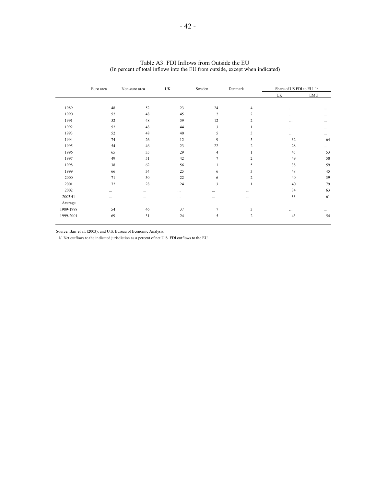|           | Euro area | Non-euro area | UK       | Sweden         | Denmark        | Share of US FDI to EU 1/ |            |
|-----------|-----------|---------------|----------|----------------|----------------|--------------------------|------------|
|           |           |               |          |                |                | UK                       | <b>EMU</b> |
| 1989      | 48        | 52            | 23       | 24             | $\overline{4}$ |                          | $\cdots$   |
| 1990      | 52        | 48            | 45       | $\overline{2}$ | 2              |                          | $\cdots$   |
| 1991      | 52        | 48            | 59       | 12             | $\overline{c}$ | $\cdots$                 | $\cdots$   |
| 1992      | 52        | 48            | 44       | 3              |                | $\cdots$                 | $\cdots$   |
| 1993      | 52        | 48            | 40       | 5              | 3              | $\cdots$                 | $\cdots$   |
| 1994      | 74        | 26            | 12       | 9              | 5              | 32                       | 64         |
| 1995      | 54        | 46            | 23       | 22             | 2              | 28                       | $\cdots$   |
| 1996      | 65        | 35            | 29       | $\overline{4}$ |                | 45                       | 53         |
| 1997      | 49        | 51            | 42       | $\overline{7}$ | $\overline{c}$ | 49                       | 50         |
| 1998      | 38        | 62            | 56       |                | 5              | 38                       | 59         |
| 1999      | 66        | 34            | 25       | 6              | 3              | 48                       | 45         |
| 2000      | 71        | 30            | 22       | 6              | 2              | 40                       | 39         |
| 2001      | 72        | 28            | 24       | 3              |                | 40                       | 79         |
| 2002      | .         | $\cdots$      | $\cdots$ | $\cdots$       | $\cdots$       | 34                       | 63         |
| 2003H1    | $\cdots$  | $\cdots$      | $\cdots$ | $\cdots$       | $\cdots$       | 33                       | 61         |
| Average   |           |               |          |                |                |                          |            |
| 1989-1998 | 54        | 46            | 37       | $\tau$         | 3              | $\cdots$                 | $\cdots$   |
| 1999-2001 | 69        | 31            | 24       | 5              | $\overline{c}$ | 43                       | 54         |

| Table A3. FDI Inflows from Outside the EU                                     |
|-------------------------------------------------------------------------------|
| (In percent of total inflows into the EU from outside, except when indicated) |
|                                                                               |
|                                                                               |

Source: Barr et al. (2003); and U.S. Bureau of Economic Analysis.

1/ Net outflows to the indicated jurisdiction as a percent of net U.S. FDI outflows to the EU.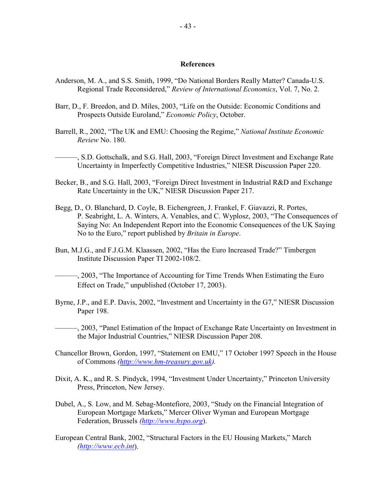#### **References**

- Anderson, M. A., and S.S. Smith, 1999, "Do National Borders Really Matter? Canada-U.S. Regional Trade Reconsidered," *Review of International Economics*, Vol. 7, No. 2.
- Barr, D., F. Breedon, and D. Miles, 2003, "Life on the Outside: Economic Conditions and Prospects Outside Euroland," *Economic Policy*, October.
- Barrell, R., 2002, "The UK and EMU: Choosing the Regime," *National Institute Economic Review* No. 180.

———, S.D. Gottschalk, and S.G. Hall, 2003, "Foreign Direct Investment and Exchange Rate Uncertainty in Imperfectly Competitive Industries," NIESR Discussion Paper 220.

- Becker, B., and S.G. Hall, 2003, "Foreign Direct Investment in Industrial R&D and Exchange Rate Uncertainty in the UK," NIESR Discussion Paper 217.
- Begg, D., O. Blanchard, D. Coyle, B. Eichengreen, J. Frankel, F. Giavazzi, R. Portes, P. Seabright, L. A. Winters, A. Venables, and C. Wyplosz, 2003, "The Consequences of Saying No: An Independent Report into the Economic Consequences of the UK Saying No to the Euro," report published by *Britain in Europe*.
- Bun, M.J.G., and F.J.G.M. Klaassen, 2002, "Has the Euro Increased Trade?" Timbergen Institute Discussion Paper TI 2002-108/2.
- ———, 2003, "The Importance of Accounting for Time Trends When Estimating the Euro Effect on Trade," unpublished (October 17, 2003).
- Byrne, J.P., and E.P. Davis, 2002, "Investment and Uncertainty in the G7," NIESR Discussion Paper 198.
- ———, 2003, "Panel Estimation of the Impact of Exchange Rate Uncertainty on Investment in the Major Industrial Countries," NIESR Discussion Paper 208.
- Chancellor Brown, Gordon, 1997, "Statement on EMU," 17 October 1997 Speech in the House of Commons *[\(http://www.hm-treasury.gov.uk](http://www.hm-treasury.gov.uk)).*
- Dixit, A. K., and R. S. Pindyck, 1994, "Investment Under Uncertainty," Princeton University Press, Princeton, New Jersey.
- Dubel, A., S. Low, and M. Sebag-Montefiore, 2003, "Study on the Financial Integration of European Mortgage Markets," Mercer Oliver Wyman and European Mortgage Federation, Brussels *[\(http://www.hypo.org](http://www.hypo.org)*).
- European Central Bank, 2002, "Structural Factors in the EU Housing Markets," March *[\(http://www.ecb.in](http://www.ecb.int)t*).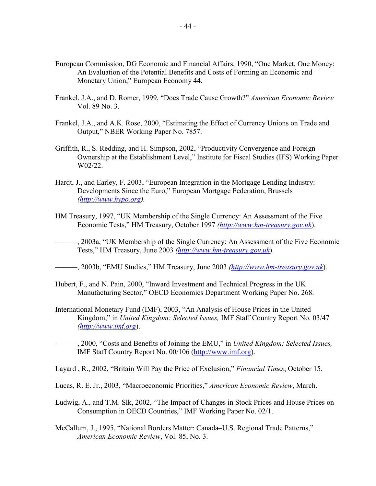- European Commission, DG Economic and Financial Affairs, 1990, "One Market, One Money: An Evaluation of the Potential Benefits and Costs of Forming an Economic and Monetary Union," European Economy 44.
- Frankel, J.A., and D. Romer, 1999, "Does Trade Cause Growth?" *American Economic Review* Vol. 89 No. 3.
- Frankel, J.A., and A.K. Rose, 2000, "Estimating the Effect of Currency Unions on Trade and Output," NBER Working Paper No. 7857.
- Griffith, R., S. Redding, and H. Simpson, 2002, "Productivity Convergence and Foreign Ownership at the Establishment Level," Institute for Fiscal Studies (IFS) Working Paper W02/22.
- Hardt, J., and Earley, F. 2003, "European Integration in the Mortgage Lending Industry: Developments Since the Euro," European Mortgage Federation, Brussels *[\(http://www.hypo.org](http://www.hypo.org)).*
- HM Treasury, 1997, "UK Membership of the Single Currency: An Assessment of the Five Economic Tests," HM Treasury, October 1997 *([http://www.hm-treasury.gov.u](http://www.hm-treasury.gov.uk)k*).
- ———, 2003a, "UK Membership of the Single Currency: An Assessment of the Five Economic Tests," HM Treasury, June 2003 *(<http://www.hm-treasury.gov.uk>*).
- ———, 2003b, "EMU Studies," HM Treasury, June 2003 *(<http://www.hm-treasury.gov.uk>*).
- Hubert, F., and N. Pain, 2000, "Inward Investment and Technical Progress in the UK Manufacturing Sector," OECD Economics Department Working Paper No. 268.
- International Monetary Fund (IMF), 2003, "An Analysis of House Prices in the United Kingdom," in *United Kingdom: Selected Issues,* IMF Staff Country Report No. 03/47 *[\(http://www.imf.org](http://www.imf.org)*).
- ———, 2000, "Costs and Benefits of Joining the EMU," in *United Kingdom: Selected Issues,* IMF Staff Country Report No. 00/106 (<http://www.imf.org>).
- Layard , R., 2002, "Britain Will Pay the Price of Exclusion," *Financial Times*, October 15.
- Lucas, R. E. Jr., 2003, "Macroeconomic Priorities," *American Economic Review*, March.
- Ludwig, A., and T.M. Slk, 2002, "The Impact of Changes in Stock Prices and House Prices on Consumption in OECD Countries," IMF Working Paper No. 02/1.
- McCallum, J., 1995, "National Borders Matter: Canada–U.S. Regional Trade Patterns," *American Economic Review*, Vol. 85, No. 3.